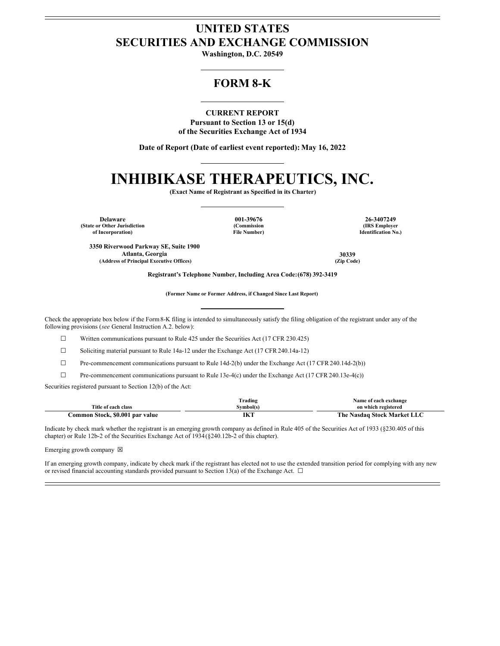## **UNITED STATES SECURITIES AND EXCHANGE COMMISSION**

**Washington, D.C. 20549**

## **FORM 8-K**

**CURRENT REPORT Pursuant to Section 13 or 15(d) of the Securities Exchange Act of 1934**

**Date of Report (Date of earliest event reported): May 16, 2022**

## **INHIBIKASE THERAPEUTICS, INC.**

**(Exact Name of Registrant as Specified in its Charter)**

**Delaware 001-39676 26-3407249 (State or Other Jurisdiction of Incorporation)**

**(Commission File Number)**

**(IRS Employer Identification No.)**

**3350 Riverwood Parkway SE, Suite 1900 Atlanta, Georgia 30339 (Address of Principal Executive Offices) (Zip Code)**

**Registrant's Telephone Number, Including Area Code:(678) 392-3419**

**(Former Name or Former Address, if Changed Since Last Report)**

Check the appropriate box below if the Form8-K filing is intended to simultaneously satisfy the filing obligation of the registrant under any of the following provisions (*see* General Instruction A.2. below):

☐ Written communications pursuant to Rule 425 under the Securities Act (17 CFR 230.425)

☐ Soliciting material pursuant to Rule 14a-12 under the Exchange Act (17 CFR 240.14a-12)

☐ Pre-commencement communications pursuant to Rule 14d-2(b) under the Exchange Act (17 CFR 240.14d-2(b))

☐ Pre-commencement communications pursuant to Rule 13e-4(c) under the Exchange Act (17 CFR 240.13e-4(c))

Securities registered pursuant to Section 12(b) of the Act:

|                                 | Frading    | Name of each exchange       |
|---------------------------------|------------|-----------------------------|
| Title of each class             | svmbol(s)  | on which registered         |
| Common Stock, \$0.001 par value | <b>IKT</b> | The Nasdag Stock Market LLC |

Indicate by check mark whether the registrant is an emerging growth company as defined in Rule 405 of the Securities Act of 1933 (§230.405 of this chapter) or Rule 12b-2 of the Securities Exchange Act of 1934(§240.12b-2 of this chapter).

Emerging growth company  $\boxtimes$ 

If an emerging growth company, indicate by check mark if the registrant has elected not to use the extended transition period for complying with any new or revised financial accounting standards provided pursuant to Section 13(a) of the Exchange Act.  $\Box$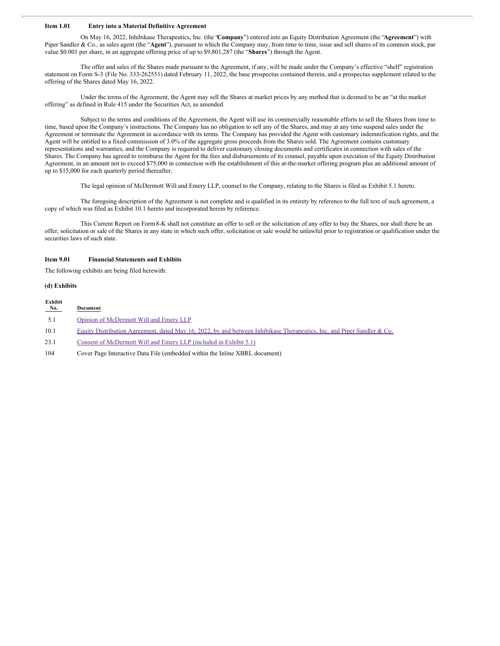#### **Item 1.01 Entry into a Material Definitive Agreement**

On May 16, 2022, Inhibikase Therapeutics, Inc. (the "**Company**") entered into an Equity Distribution Agreement (the "**Agreement**") with Piper Sandler & Co., as sales agent (the "**Agent**"), pursuant to which the Company may, from time to time, issue and sell shares of its common stock, par value \$0.001 per share, in an aggregate offering price of up to \$9,801,287 (the "**Shares**") through the Agent.

The offer and sales of the Shares made pursuant to the Agreement, if any, will be made under the Company's effective "shelf" registration statement on Form S-3 (File No. 333-262551) dated February 11, 2022, the base prospectus contained therein, and a prospectus supplement related to the offering of the Shares dated May 16, 2022.

Under the terms of the Agreement, the Agent may sell the Shares at market prices by any method that is deemed to be an "at the market offering" as defined in Rule 415 under the Securities Act, as amended.

Subject to the terms and conditions of the Agreement, the Agent will use its commercially reasonable efforts to sell the Shares from time to time, based upon the Company's instructions. The Company has no obligation to sell any of the Shares, and may at any time suspend sales under the Agreement or terminate the Agreement in accordance with its terms. The Company has provided the Agent with customary indemnification rights, and the Agent will be entitled to a fixed commission of 3.0% of the aggregate gross proceeds from the Shares sold. The Agreement contains customary representations and warranties, and the Company is required to deliver customary closing documents and certificates in connection with sales of the Shares. The Company has agreed to reimburse the Agent for the fees and disbursements of its counsel, payable upon execution of the Equity Distribution Agreement, in an amount not to exceed \$75,000 in connection with the establishment of this at-the-market offering program plus an additional amount of up to \$15,000 for each quarterly period thereafter.

The legal opinion of McDermott Will and Emery LLP, counsel to the Company, relating to the Shares is filed as Exhibit 5.1 hereto.

The foregoing description of the Agreement is not complete and is qualified in its entirety by reference to the full text of such agreement, a copy of which was filed as Exhibit 10.1 hereto and incorporated herein by reference.

This Current Report on Form8-K shall not constitute an offer to sell or the solicitation of any offer to buy the Shares, nor shall there be an offer, solicitation or sale of the Shares in any state in which such offer, solicitation or sale would be unlawful prior to registration or qualification under the securities laws of such state.

#### **Item 9.01 Financial Statements and Exhibits**

The following exhibits are being filed herewith:

#### **(d) Exhibits**

| Exhibit<br>No. | Document                                                                                                                |
|----------------|-------------------------------------------------------------------------------------------------------------------------|
| 5.1            | Opinion of McDermott Will and Emery LLP                                                                                 |
| 10.1           | Equity Distribution Agreement, dated May 16, 2022, by and between Inhibikase Therapeutics, Inc. and Piper Sandler & Co. |
| 23.1           | Consent of McDermott Will and Emery LLP (included in Exhibit 5.1)                                                       |
| 104            | Cover Page Interactive Data File (embedded within the Inline XBRL document)                                             |
|                |                                                                                                                         |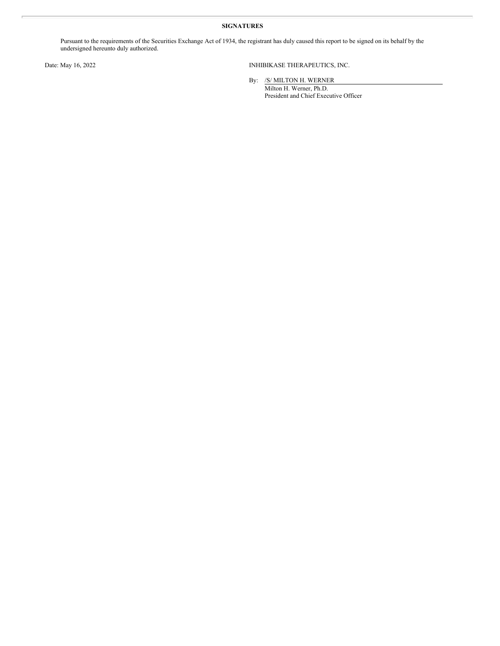#### **SIGNATURES**

Pursuant to the requirements of the Securities Exchange Act of 1934, the registrant has duly caused this report to be signed on its behalf by the undersigned hereunto duly authorized.

Date: May 16, 2022 INHIBIKASE THERAPEUTICS, INC.

By: /S/ MILTON H. WERNER Milton H. Werner, Ph.D. President and Chief Executive Officer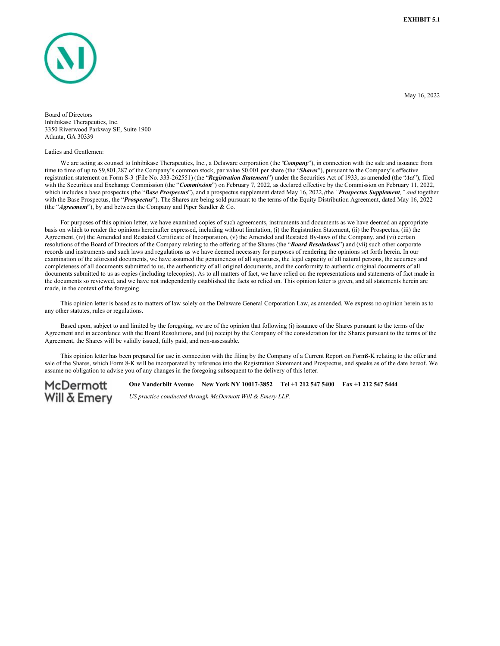<span id="page-3-0"></span>

May 16, 2022

Board of Directors Inhibikase Therapeutics, Inc. 3350 Riverwood Parkway SE, Suite 1900 Atlanta, GA 30339

#### Ladies and Gentlemen:

We are acting as counsel to Inhibikase Therapeutics, Inc., a Delaware corporation (the *'Company*"), in connection with the sale and issuance from time to time of up to \$9,801,287 of the Company's common stock, par value \$0.001 per share (the "*Shares*"), pursuant to the Company's effective registration statement on Form S-3 (File No. 333-262551) (the "*Registration Statement*") under the Securities Act of 1933, as amended (the "*Act*"), filed with the Securities and Exchange Commission (the "*Commission*") on February 7, 2022, as declared effective by the Commission on February 11, 2022, which includes a base prospectus (the "*Base Prospectus*"), and a prospectus supplement dated May 16, 2022,*(*the *"Prospectus Supplement," and* together with the Base Prospectus, the "*Prospectus*"). The Shares are being sold pursuant to the terms of the Equity Distribution Agreement, dated May 16, 2022 (the "*Agreement*"), by and between the Company and Piper Sandler & Co.

For purposes of this opinion letter, we have examined copies of such agreements, instruments and documents as we have deemed an appropriate basis on which to render the opinions hereinafter expressed, including without limitation, (i) the Registration Statement, (ii) the Prospectus, (iii) the Agreement, (iv) the Amended and Restated Certificate of Incorporation, (v) the Amended and Restated By-laws of the Company, and (vi) certain resolutions of the Board of Directors of the Company relating to the offering of the Shares (the "*Board Resolutions*") and (vii) such other corporate records and instruments and such laws and regulations as we have deemed necessary for purposes of rendering the opinions set forth herein. In our examination of the aforesaid documents, we have assumed the genuineness of all signatures, the legal capacity of all natural persons, the accuracy and completeness of all documents submitted to us, the authenticity of all original documents, and the conformity to authentic original documents of all documents submitted to us as copies (including telecopies). As to all matters of fact, we have relied on the representations and statements of fact made in the documents so reviewed, and we have not independently established the facts so relied on. This opinion letter is given, and all statements herein are made, in the context of the foregoing.

This opinion letter is based as to matters of law solely on the Delaware General Corporation Law, as amended. We express no opinion herein as to any other statutes, rules or regulations.

Based upon, subject to and limited by the foregoing, we are of the opinion that following (i) issuance of the Shares pursuant to the terms of the Agreement and in accordance with the Board Resolutions, and (ii) receipt by the Company of the consideration for the Shares pursuant to the terms of the Agreement, the Shares will be validly issued, fully paid, and non-assessable.

This opinion letter has been prepared for use in connection with the filing by the Company of a Current Report on Form8-K relating to the offer and sale of the Shares, which Form 8-K will be incorporated by reference into the Registration Statement and Prospectus, and speaks as of the date hereof. We assume no obligation to advise you of any changes in the foregoing subsequent to the delivery of this letter.

## **McDermott Will & Emery**

**One Vanderbilt Avenue New York NY 10017-3852 Tel +1 212 547 5400 Fax +1 212 547 5444** *US practice conducted through McDermott Will & Emery LLP.*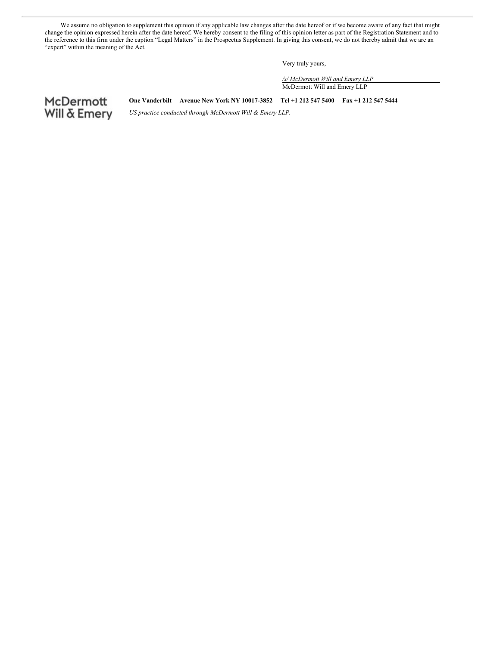We assume no obligation to supplement this opinion if any applicable law changes after the date hereof or if we become aware of any fact that might change the opinion expressed herein after the date hereof. We hereby consent to the filing of this opinion letter as part of the Registration Statement and to the reference to this firm under the caption "Legal Matters" in the Prospectus Supplement. In giving this consent, we do not thereby admit that we are an "expert" within the meaning of the Act.

Very truly yours,

*/s/ McDermott Will and Emery LLP* McDermott Will and Emery LLP

# McDermott<br>Will & Emery

**One Vanderbilt Avenue New York NY 10017-3852 Tel +1 212 547 5400 Fax +1 212 547 5444**

*US practice conducted through McDermott Will & Emery LLP.*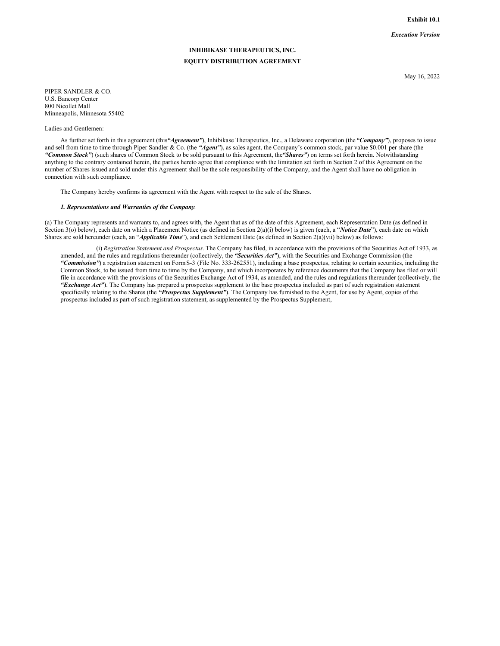**Exhibit 10.1**

*Execution Version*

### **INHIBIKASE THERAPEUTICS, INC. EQUITY DISTRIBUTION AGREEMENT**

May 16, 2022

PIPER SANDLER & CO. U.S. Bancorp Center 800 Nicollet Mall Minneapolis, Minnesota 55402

Ladies and Gentlemen:

As further set forth in this agreement (this*"Agreement"*), Inhibikase Therapeutics, Inc., a Delaware corporation (the*"Company"*), proposes to issue and sell from time to time through Piper Sandler & Co. (the *"Agent"*), as sales agent, the Company's common stock, par value \$0.001 per share (the *"Common Stock"*) (such shares of Common Stock to be sold pursuant to this Agreement, the*"Shares"*) on terms set forth herein. Notwithstanding anything to the contrary contained herein, the parties hereto agree that compliance with the limitation set forth in Section 2 of this Agreement on the number of Shares issued and sold under this Agreement shall be the sole responsibility of the Company, and the Agent shall have no obligation in connection with such compliance.

The Company hereby confirms its agreement with the Agent with respect to the sale of the Shares.

#### *1. Representations and Warranties of the Company*.

(a) The Company represents and warrants to, and agrees with, the Agent that as of the date of this Agreement, each Representation Date (as defined in Section 3(o) below), each date on which a Placement Notice (as defined in Section 2(a)(i) below) is given (each, a "*Notice Date*"), each date on which Shares are sold hereunder (each, an "*Applicable Time*"), and each Settlement Date (as defined in Section 2(a)(vii) below) as follows:

(i) *Registration Statement and Prospectus*. The Company has filed, in accordance with the provisions of the Securities Act of 1933, as amended, and the rules and regulations thereunder (collectively, the *"Securities Act"*), with the Securities and Exchange Commission (the *"Commission"*) a registration statement on FormS-3 (File No. 333-262551), including a base prospectus, relating to certain securities, including the Common Stock, to be issued from time to time by the Company, and which incorporates by reference documents that the Company has filed or will file in accordance with the provisions of the Securities Exchange Act of 1934, as amended, and the rules and regulations thereunder (collectively, the *"Exchange Act"*). The Company has prepared a prospectus supplement to the base prospectus included as part of such registration statement specifically relating to the Shares (the *"Prospectus Supplement"*). The Company has furnished to the Agent, for use by Agent, copies of the prospectus included as part of such registration statement, as supplemented by the Prospectus Supplement,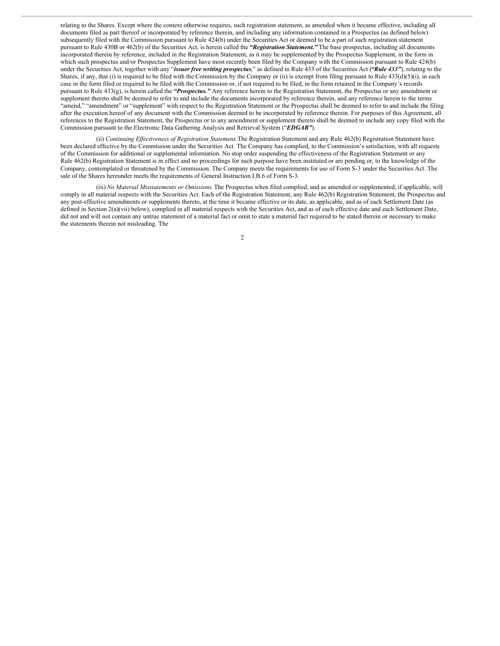relating to the Shares. Except where the context otherwise requires, such registration statement, as amended when it became effective, including all documents filed as part thereof or incorporated by reference therein, and including any information contained in a Prospectus (as defined below) subsequently filed with the Commission pursuant to Rule 424(b) under the Securities Act or deemed to be a part of such registration statement pursuant to Rule 430B or 462(b) of the Securities Act, is herein called the *"Registration Statement."* The base prospectus, including all documents incorporated therein by reference, included in the Registration Statement, as it may be supplemented by the Prospectus Supplement, in the form in which such prospectus and/or Prospectus Supplement have most recently been filed by the Company with the Commission pursuant to Rule 424(b) under the Securities Act, together with any "*issuer free writing prospectus*," as defined in Rule 433 of the Securities Act (*"Rule 433"*), relating to the Shares, if any, that (i) is required to be filed with the Commission by the Company or (ii) is exempt from filing pursuant to Rule  $433(d)(5)(i)$ , in each case in the form filed or required to be filed with the Commission or, if not required to be filed, in the form retained in the Company's records pursuant to Rule 433(g), is herein called the *"Prospectus."* Any reference herein to the Registration Statement, the Prospectus or any amendment or supplement thereto shall be deemed to refer to and include the documents incorporated by reference therein, and any reference herein to the terms "amend," "amendment" or "supplement" with respect to the Registration Statement or the Prospectus shall be deemed to refer to and include the filing after the execution hereof of any document with the Commission deemed to be incorporated by reference therein. For purposes of this Agreement, all references to the Registration Statement, the Prospectus or to any amendment or supplement thereto shall be deemed to include any copy filed with the Commission pursuant to the Electronic Data Gathering Analysis and Retrieval System ("*EDGAR"*).

(ii) *Continuing Ef ectiveness of Registration Statement*. The Registration Statement and any Rule 462(b) Registration Statement have been declared effective by the Commission under the Securities Act. The Company has complied, to the Commission's satisfaction, with all requests of the Commission for additional or supplemental information. No stop order suspending the effectiveness of the Registration Statement or any Rule 462(b) Registration Statement is in effect and no proceedings for such purpose have been instituted or are pending or, to the knowledge of the Company, contemplated or threatened by the Commission. The Company meets the requirements for use of Form S-3 under the Securities Act. The sale of the Shares hereunder meets the requirements of General Instruction I.B.6 of Form S-3.

(iii) *No Material Misstatements or Omissions*. The Prospectus when filed complied, and as amended or supplemented, if applicable, will comply in all material respects with the Securities Act. Each of the Registration Statement, any Rule 462(b) Registration Statement, the Prospectus and any post-effective amendments or supplements thereto, at the time it became effective or its date, as applicable, and as of each Settlement Date (as defined in Section  $2(a)(vi)$  below), complied in all material respects with the Securities Act, and as of each effective date and each Settlement Date, did not and will not contain any untrue statement of a material fact or omit to state a material fact required to be stated therein or necessary to make the statements therein not misleading. The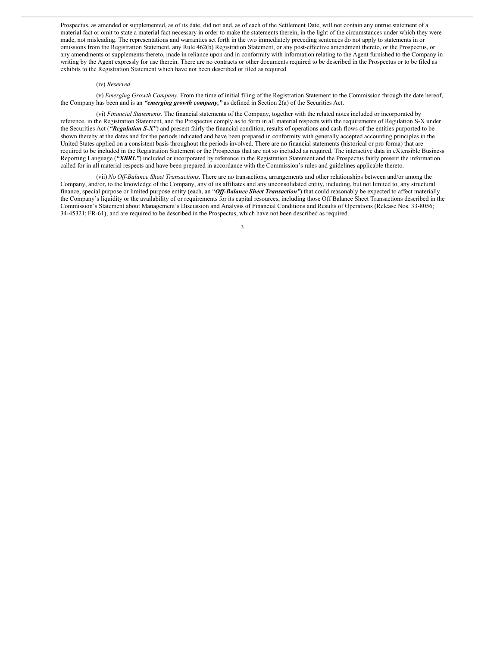Prospectus, as amended or supplemented, as of its date, did not and, as of each of the Settlement Date, will not contain any untrue statement of a material fact or omit to state a material fact necessary in order to make the statements therein, in the light of the circumstances under which they were made, not misleading. The representations and warranties set forth in the two immediately preceding sentences do not apply to statements in or omissions from the Registration Statement, any Rule 462(b) Registration Statement, or any post-effective amendment thereto, or the Prospectus, or any amendments or supplements thereto, made in reliance upon and in conformity with information relating to the Agent furnished to the Company in writing by the Agent expressly for use therein. There are no contracts or other documents required to be described in the Prospectus or to be filed as exhibits to the Registration Statement which have not been described or filed as required.

#### (iv) *Reserved.*

(v) *Emerging Growth Company*. From the time of initial filing of the Registration Statement to the Commission through the date hereof, the Company has been and is an *"emerging growth company,"* as defined in Section 2(a) of the Securities Act.

(vi) *Financial Statements*. The financial statements of the Company, together with the related notes included or incorporated by reference, in the Registration Statement, and the Prospectus comply as to form in all material respects with the requirements of Regulation S-X under the Securities Act (*"Regulation S-X"*) and present fairly the financial condition, results of operations and cash flows of the entities purported to be shown thereby at the dates and for the periods indicated and have been prepared in conformity with generally accepted accounting principles in the United States applied on a consistent basis throughout the periods involved. There are no financial statements (historical or pro forma) that are required to be included in the Registration Statement or the Prospectus that are not so included as required. The interactive data in eXtensible Business Reporting Language (*"XBRL"*) included or incorporated by reference in the Registration Statement and the Prospectus fairly present the information called for in all material respects and have been prepared in accordance with the Commission's rules and guidelines applicable thereto.

(vii) *No Of -Balance Sheet Transactions*. There are no transactions, arrangements and other relationships between and/or among the Company, and/or, to the knowledge of the Company, any of its affiliates and any unconsolidated entity, including, but not limited to, any structural finance, special purpose or limited purpose entity (each, an "*Off-Balance Sheet Transaction*") that could reasonably be expected to affect materially the Company's liquidity or the availability of or requirements for its capital resources, including those Off Balance Sheet Transactions described in the Commission's Statement about Management's Discussion and Analysis of Financial Conditions and Results of Operations (Release Nos. 33-8056; 34-45321; FR-61), and are required to be described in the Prospectus, which have not been described as required.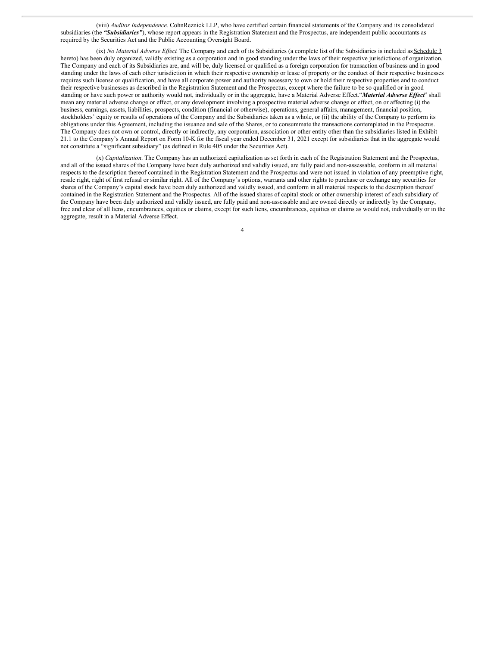(viii) *Auditor Independence.* CohnReznick LLP, who have certified certain financial statements of the Company and its consolidated subsidiaries (the "Subsidiaries"), whose report appears in the Registration Statement and the Prospectus, are independent public accountants as required by the Securities Act and the Public Accounting Oversight Board.

(ix) *No Material Adverse Effect*. The Company and each of its Subsidiaries (a complete list of the Subsidiaries is included as Schedule 3 hereto) has been duly organized, validly existing as a corporation and in good standing under the laws of their respective jurisdictions of organization. The Company and each of its Subsidiaries are, and will be, duly licensed or qualified as a foreign corporation for transaction of business and in good standing under the laws of each other jurisdiction in which their respective ownership or lease of property or the conduct of their respective businesses requires such license or qualification, and have all corporate power and authority necessary to own or hold their respective properties and to conduct their respective businesses as described in the Registration Statement and the Prospectus, except where the failure to be so qualified or in good standing or have such power or authority would not, individually or in the aggregate, have a Material Adverse Effect."*Material Adverse Ef ect*" shall mean any material adverse change or effect, or any development involving a prospective material adverse change or effect, on or affecting (i) the business, earnings, assets, liabilities, prospects, condition (financial or otherwise), operations, general affairs, management, financial position, stockholders' equity or results of operations of the Company and the Subsidiaries taken as a whole, or (ii) the ability of the Company to perform its obligations under this Agreement, including the issuance and sale of the Shares, or to consummate the transactions contemplated in the Prospectus. The Company does not own or control, directly or indirectly, any corporation, association or other entity other than the subsidiaries listed in Exhibit 21.1 to the Company's Annual Report on Form 10-K for the fiscal year ended December 31, 2021 except for subsidiaries that in the aggregate would not constitute a "significant subsidiary" (as defined in Rule 405 under the Securities Act).

(x) *Capitalization*. The Company has an authorized capitalization as set forth in each of the Registration Statement and the Prospectus, and all of the issued shares of the Company have been duly authorized and validly issued, are fully paid and non-assessable, conform in all material respects to the description thereof contained in the Registration Statement and the Prospectus and were not issued in violation of any preemptive right, resale right, right of first refusal or similar right. All of the Company's options, warrants and other rights to purchase or exchange any securities for shares of the Company's capital stock have been duly authorized and validly issued, and conform in all material respects to the description thereof contained in the Registration Statement and the Prospectus. All of the issued shares of capital stock or other ownership interest of each subsidiary of the Company have been duly authorized and validly issued, are fully paid and non-assessable and are owned directly or indirectly by the Company, free and clear of all liens, encumbrances, equities or claims, except for such liens, encumbrances, equities or claims as would not, individually or in the aggregate, result in a Material Adverse Effect.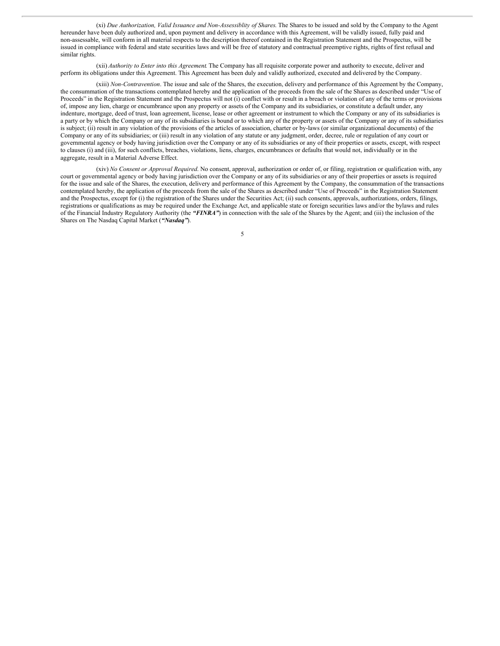(xi) *Due Authorization, Valid Issuance and Non-Assessiblity of Shares*. The Shares to be issued and sold by the Company to the Agent hereunder have been duly authorized and, upon payment and delivery in accordance with this Agreement, will be validly issued, fully paid and non-assessable, will conform in all material respects to the description thereof contained in the Registration Statement and the Prospectus, will be issued in compliance with federal and state securities laws and will be free of statutory and contractual preemptive rights, rights of first refusal and similar rights.

(xii) *Authority to Enter into this Agreement*. The Company has all requisite corporate power and authority to execute, deliver and perform its obligations under this Agreement. This Agreement has been duly and validly authorized, executed and delivered by the Company.

(xiii) *Non-Contravention*. The issue and sale of the Shares, the execution, delivery and performance of this Agreement by the Company, the consummation of the transactions contemplated hereby and the application of the proceeds from the sale of the Shares as described under "Use of Proceeds" in the Registration Statement and the Prospectus will not (i) conflict with or result in a breach or violation of any of the terms or provisions of, impose any lien, charge or encumbrance upon any property or assets of the Company and its subsidiaries, or constitute a default under, any indenture, mortgage, deed of trust, loan agreement, license, lease or other agreement or instrument to which the Company or any of its subsidiaries is a party or by which the Company or any of its subsidiaries is bound or to which any of the property or assets of the Company or any of its subsidiaries is subject; (ii) result in any violation of the provisions of the articles of association, charter or by-laws (or similar organizational documents) of the Company or any of its subsidiaries; or (iii) result in any violation of any statute or any judgment, order, decree, rule or regulation of any court or governmental agency or body having jurisdiction over the Company or any of its subsidiaries or any of their properties or assets, except, with respect to clauses (i) and (iii), for such conflicts, breaches, violations, liens, charges, encumbrances or defaults that would not, individually or in the aggregate, result in a Material Adverse Effect.

(xiv) *No Consent or Approval Required*. No consent, approval, authorization or order of, or filing, registration or qualification with, any court or governmental agency or body having jurisdiction over the Company or any of its subsidiaries or any of their properties or assets is required for the issue and sale of the Shares, the execution, delivery and performance of this Agreement by the Company, the consummation of the transactions contemplated hereby, the application of the proceeds from the sale of the Shares as described under "Use of Proceeds" in the Registration Statement and the Prospectus, except for (i) the registration of the Shares under the Securities Act; (ii) such consents, approvals, authorizations, orders, filings, registrations or qualifications as may be required under the Exchange Act, and applicable state or foreign securities laws and/or the bylaws and rules of the Financial Industry Regulatory Authority (the *"FINRA"*) in connection with the sale of the Shares by the Agent; and (iii) the inclusion of the Shares on The Nasdaq Capital Market (*"Nasdaq"*).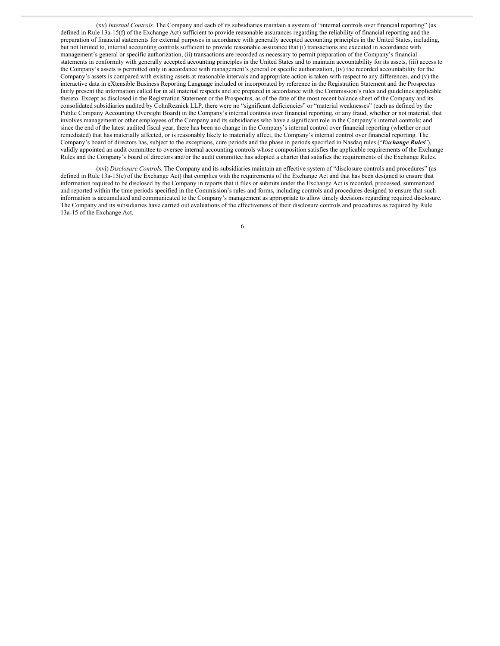(xv) *Internal Controls*. The Company and each of its subsidiaries maintain a system of "internal controls over financial reporting" (as defined in Rule 13a-15(f) of the Exchange Act) sufficient to provide reasonable assurances regarding the reliability of financial reporting and the preparation of financial statements for external purposes in accordance with generally accepted accounting principles in the United States, including, but not limited to, internal accounting controls sufficient to provide reasonable assurance that (i) transactions are executed in accordance with management's general or specific authorization, (ii) transactions are recorded as necessary to permit preparation of the Company's financial statements in conformity with generally accepted accounting principles in the United States and to maintain accountability for its assets, (iii) access to the Company's assets is permitted only in accordance with management's general or specific authorization, (iv) the recorded accountability for the Company's assets is compared with existing assets at reasonable intervals and appropriate action is taken with respect to any differences, and (v) the interactive data in eXtensible Business Reporting Language included or incorporated by reference in the Registration Statement and the Prospectus fairly present the information called for in all material respects and are prepared in accordance with the Commission's rules and guidelines applicable thereto. Except as disclosed in the Registration Statement or the Prospectus, as of the date of the most recent balance sheet of the Company and its consolidated subsidiaries audited by CohnReznick LLP, there were no "significant deficiencies" or "material weaknesses" (each as defined by the Public Company Accounting Oversight Board) in the Company's internal controls over financial reporting, or any fraud, whether or not material, that involves management or other employees of the Company and its subsidiaries who have a significant role in the Company's internal controls; and since the end of the latest audited fiscal year, there has been no change in the Company's internal control over financial reporting (whether or not remediated) that has materially affected, or is reasonably likely to materially affect, the Company's internal control over financial reporting. The Company's board of directors has, subject to the exceptions, cure periods and the phase in periods specified in Nasdaq rules ("*Exchange Rules*"), validly appointed an audit committee to oversee internal accounting controls whose composition satisfies the applicable requirements of the Exchange Rules and the Company's board of directors and/or the audit committee has adopted a charter that satisfies the requirements of the Exchange Rules.

(xvi) *Disclosure Controls*. The Company and its subsidiaries maintain an effective system of "disclosure controls and procedures" (as defined in Rule 13a-15(e) of the Exchange Act) that complies with the requirements of the Exchange Act and that has been designed to ensure that information required to be disclosed by the Company in reports that it files or submits under the Exchange Act is recorded, processed, summarized and reported within the time periods specified in the Commission's rules and forms, including controls and procedures designed to ensure that such information is accumulated and communicated to the Company's management as appropriate to allow timely decisions regarding required disclosure. The Company and its subsidiaries have carried out evaluations of the effectiveness of their disclosure controls and procedures as required by Rule 13a-15 of the Exchange Act.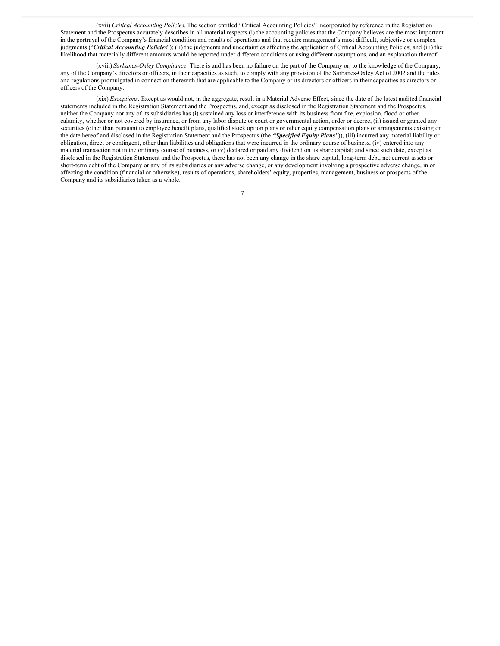(xvii) *Critical Accounting Policies*. The section entitled "Critical Accounting Policies" incorporated by reference in the Registration Statement and the Prospectus accurately describes in all material respects (i) the accounting policies that the Company believes are the most important in the portrayal of the Company's financial condition and results of operations and that require management's most difficult, subjective or complex judgments ("*Critical Accounting Policies*"); (ii) the judgments and uncertainties affecting the application of Critical Accounting Policies; and (iii) the likelihood that materially different amounts would be reported under different conditions or using different assumptions, and an explanation thereof.

(xviii) *Sarbanes-Oxley Compliance*. There is and has been no failure on the part of the Company or, to the knowledge of the Company, any of the Company's directors or officers, in their capacities as such, to comply with any provision of the Sarbanes-Oxley Act of 2002 and the rules and regulations promulgated in connection therewith that are applicable to the Company or its directors or officers in their capacities as directors or officers of the Company.

(xix) *Exceptions*. Except as would not, in the aggregate, result in a Material Adverse Effect, since the date of the latest audited financial statements included in the Registration Statement and the Prospectus, and, except as disclosed in the Registration Statement and the Prospectus, neither the Company nor any of its subsidiaries has (i) sustained any loss or interference with its business from fire, explosion, flood or other calamity, whether or not covered by insurance, or from any labor dispute or court or governmental action, order or decree, (ii) issued or granted any securities (other than pursuant to employee benefit plans, qualified stock option plans or other equity compensation plans or arrangements existing on the date hereof and disclosed in the Registration Statement and the Prospectus (the *"Specified Equity Plans"*)), (iii) incurred any material liability or obligation, direct or contingent, other than liabilities and obligations that were incurred in the ordinary course of business, (iv) entered into any material transaction not in the ordinary course of business, or (v) declared or paid any dividend on its share capital; and since such date, except as disclosed in the Registration Statement and the Prospectus, there has not been any change in the share capital, long-term debt, net current assets or short-term debt of the Company or any of its subsidiaries or any adverse change, or any development involving a prospective adverse change, in or affecting the condition (financial or otherwise), results of operations, shareholders' equity, properties, management, business or prospects of the Company and its subsidiaries taken as a whole.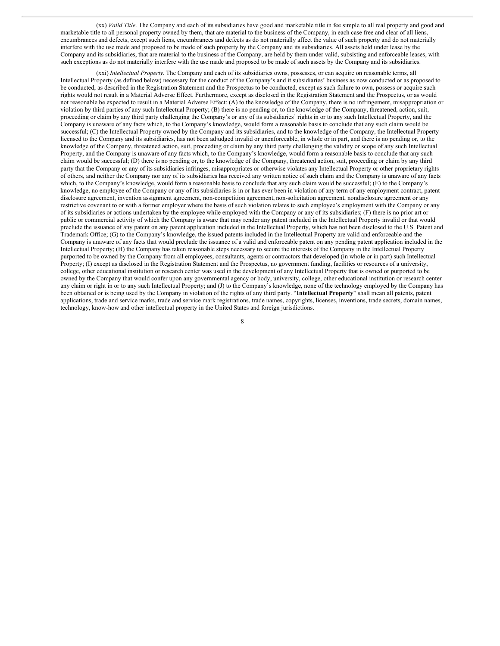(xx) *Valid Title*. The Company and each of its subsidiaries have good and marketable title in fee simple to all real property and good and marketable title to all personal property owned by them, that are material to the business of the Company, in each case free and clear of all liens, encumbrances and defects, except such liens, encumbrances and defects as do not materially affect the value of such property and do not materially interfere with the use made and proposed to be made of such property by the Company and its subsidiaries. All assets held under lease by the Company and its subsidiaries, that are material to the business of the Company, are held by them under valid, subsisting and enforceable leases, with such exceptions as do not materially interfere with the use made and proposed to be made of such assets by the Company and its subsidiaries.

(xxi) *Intellectual Property*. The Company and each of its subsidiaries owns, possesses, or can acquire on reasonable terms, all Intellectual Property (as defined below) necessary for the conduct of the Company's and it subsidiaries' business as now conducted or as proposed to be conducted, as described in the Registration Statement and the Prospectus to be conducted, except as such failure to own, possess or acquire such rights would not result in a Material Adverse Effect. Furthermore, except as disclosed in the Registration Statement and the Prospectus, or as would not reasonable be expected to result in a Material Adverse Effect: (A) to the knowledge of the Company, there is no infringement, misappropriation or violation by third parties of any such Intellectual Property; (B) there is no pending or, to the knowledge of the Company, threatened, action, suit, proceeding or claim by any third party challenging the Company's or any of its subsidiaries' rights in or to any such Intellectual Property, and the Company is unaware of any facts which, to the Company's knowledge, would form a reasonable basis to conclude that any such claim would be successful; (C) the Intellectual Property owned by the Company and its subsidiaries, and to the knowledge of the Company, the Intellectual Property licensed to the Company and its subsidiaries, has not been adjudged invalid or unenforceable, in whole or in part, and there is no pending or, to the knowledge of the Company, threatened action, suit, proceeding or claim by any third party challenging the validity or scope of any such Intellectual Property, and the Company is unaware of any facts which, to the Company's knowledge, would form a reasonable basis to conclude that any such claim would be successful; (D) there is no pending or, to the knowledge of the Company, threatened action, suit, proceeding or claim by any third party that the Company or any of its subsidiaries infringes, misappropriates or otherwise violates any Intellectual Property or other proprietary rights of others, and neither the Company nor any of its subsidiaries has received any written notice of such claim and the Company is unaware of any facts which, to the Company's knowledge, would form a reasonable basis to conclude that any such claim would be successful; (E) to the Company's knowledge, no employee of the Company or any of its subsidiaries is in or has ever been in violation of any term of any employment contract, patent disclosure agreement, invention assignment agreement, non-competition agreement, non-solicitation agreement, nondisclosure agreement or any restrictive covenant to or with a former employer where the basis of such violation relates to such employee's employment with the Company or any of its subsidiaries or actions undertaken by the employee while employed with the Company or any of its subsidiaries; (F) there is no prior art or public or commercial activity of which the Company is aware that may render any patent included in the Intellectual Property invalid or that would preclude the issuance of any patent on any patent application included in the Intellectual Property, which has not been disclosed to the U.S. Patent and Trademark Office; (G) to the Company's knowledge, the issued patents included in the Intellectual Property are valid and enforceable and the Company is unaware of any facts that would preclude the issuance of a valid and enforceable patent on any pending patent application included in the Intellectual Property; (H) the Company has taken reasonable steps necessary to secure the interests of the Company in the Intellectual Property purported to be owned by the Company from all employees, consultants, agents or contractors that developed (in whole or in part) such Intellectual Property; (I) except as disclosed in the Registration Statement and the Prospectus, no government funding, facilities or resources of a university, college, other educational institution or research center was used in the development of any Intellectual Property that is owned or purported to be owned by the Company that would confer upon any governmental agency or body, university, college, other educational institution or research center any claim or right in or to any such Intellectual Property; and (J) to the Company's knowledge, none of the technology employed by the Company has been obtained or is being used by the Company in violation of the rights of any third party. "**Intellectual Property**" shall mean all patents, patent applications, trade and service marks, trade and service mark registrations, trade names, copyrights, licenses, inventions, trade secrets, domain names, technology, know-how and other intellectual property in the United States and foreign jurisdictions.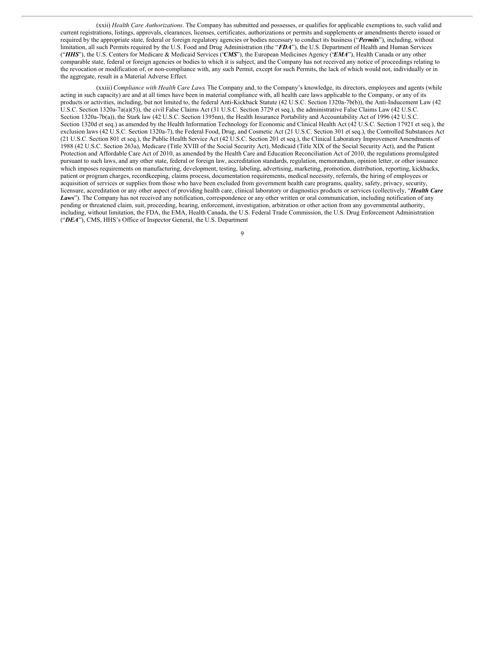(xxii) *Health Care Authorizations*. The Company has submitted and possesses, or qualifies for applicable exemptions to, such valid and current registrations, listings, approvals, clearances, licenses, certificates, authorizations or permits and supplements or amendments thereto issued or required by the appropriate state, federal or foreign regulatory agencies or bodies necessary to conduct its business ("*Permits*"), including, without limitation, all such Permits required by the U.S. Food and Drug Administration (the "*FDA*"), the U.S. Department of Health and Human Services ("*HHS*"), the U.S. Centers for Medicare & Medicaid Services ("*CMS*"), the European Medicines Agency ("*EMA*"), Health Canada or any other comparable state, federal or foreign agencies or bodies to which it is subject, and the Company has not received any notice of proceedings relating to the revocation or modification of, or non-compliance with, any such Permit, except for such Permits, the lack of which would not, individually or in the aggregate, result in a Material Adverse Effect.

(xxiii) *Compliance with Health Care Laws*. The Company and, to the Company's knowledge, its directors, employees and agents (while acting in such capacity) are and at all times have been in material compliance with, all health care laws applicable to the Company, or any of its products or activities, including, but not limited to, the federal Anti-Kickback Statute (42 U.S.C. Section 1320a-7b(b)), the Anti-Inducement Law (42 U.S.C. Section 1320a-7a(a)(5)), the civil False Claims Act (31 U.S.C. Section 3729 et seq.), the administrative False Claims Law (42 U.S.C. Section 1320a-7b(a)), the Stark law (42 U.S.C. Section 1395nn), the Health Insurance Portability and Accountability Act of 1996 (42 U.S.C. Section 1320d et seq.) as amended by the Health Information Technology for Economic and Clinical Health Act (42 U.S.C. Section 17921 et seq.), the exclusion laws (42 U.S.C. Section 1320a-7), the Federal Food, Drug, and Cosmetic Act (21 U.S.C. Section 301 et seq.), the Controlled Substances Act (21 U.S.C. Section 801 et seq.), the Public Health Service Act (42 U.S.C. Section 201 et seq.), the Clinical Laboratory Improvement Amendments of 1988 (42 U.S.C. Section 263a), Medicare (Title XVIII of the Social Security Act), Medicaid (Title XIX of the Social Security Act), and the Patient Protection and Affordable Care Act of 2010, as amended by the Health Care and Education Reconciliation Act of 2010, the regulations promulgated pursuant to such laws, and any other state, federal or foreign law, accreditation standards, regulation, memorandum, opinion letter, or other issuance which imposes requirements on manufacturing, development, testing, labeling, advertising, marketing, promotion, distribution, reporting, kickbacks, patient or program charges, recordkeeping, claims process, documentation requirements, medical necessity, referrals, the hiring of employees or acquisition of services or supplies from those who have been excluded from government health care programs, quality, safety, privacy, security, licensure, accreditation or any other aspect of providing health care, clinical laboratory or diagnostics products or services (collectively, "*Health Care Laws*"). The Company has not received any notification, correspondence or any other written or oral communication, including notification of any pending or threatened claim, suit, proceeding, hearing, enforcement, investigation, arbitration or other action from any governmental authority, including, without limitation, the FDA, the EMA, Health Canada, the U.S. Federal Trade Commission, the U.S. Drug Enforcement Administration ("*DEA*"), CMS, HHS's Office of Inspector General, the U.S. Department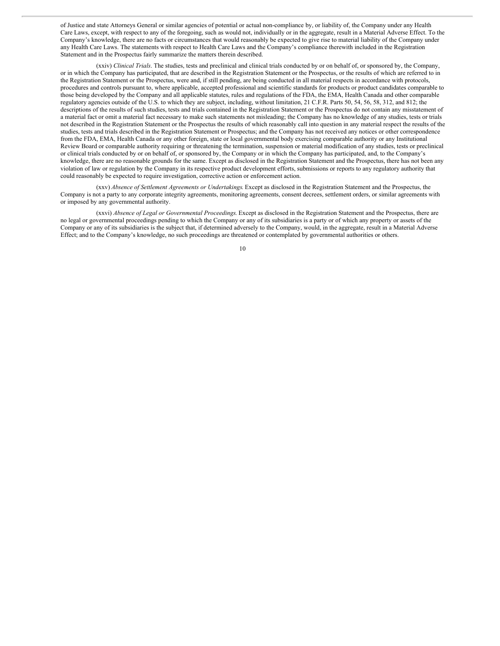of Justice and state Attorneys General or similar agencies of potential or actual non-compliance by, or liability of, the Company under any Health Care Laws, except, with respect to any of the foregoing, such as would not, individually or in the aggregate, result in a Material Adverse Effect. To the Company's knowledge, there are no facts or circumstances that would reasonably be expected to give rise to material liability of the Company under any Health Care Laws. The statements with respect to Health Care Laws and the Company's compliance therewith included in the Registration Statement and in the Prospectus fairly summarize the matters therein described.

(xxiv) *Clinical Trials*. The studies, tests and preclinical and clinical trials conducted by or on behalf of, or sponsored by, the Company, or in which the Company has participated, that are described in the Registration Statement or the Prospectus, or the results of which are referred to in the Registration Statement or the Prospectus, were and, if still pending, are being conducted in all material respects in accordance with protocols, procedures and controls pursuant to, where applicable, accepted professional and scientific standards for products or product candidates comparable to those being developed by the Company and all applicable statutes, rules and regulations of the FDA, the EMA, Health Canada and other comparable regulatory agencies outside of the U.S. to which they are subject, including, without limitation, 21 C.F.R. Parts 50, 54, 56, 58, 312, and 812; the descriptions of the results of such studies, tests and trials contained in the Registration Statement or the Prospectus do not contain any misstatement of a material fact or omit a material fact necessary to make such statements not misleading; the Company has no knowledge of any studies, tests or trials not described in the Registration Statement or the Prospectus the results of which reasonably call into question in any material respect the results of the studies, tests and trials described in the Registration Statement or Prospectus; and the Company has not received any notices or other correspondence from the FDA, EMA, Health Canada or any other foreign, state or local governmental body exercising comparable authority or any Institutional Review Board or comparable authority requiring or threatening the termination, suspension or material modification of any studies, tests or preclinical or clinical trials conducted by or on behalf of, or sponsored by, the Company or in which the Company has participated, and, to the Company's knowledge, there are no reasonable grounds for the same. Except as disclosed in the Registration Statement and the Prospectus, there has not been any violation of law or regulation by the Company in its respective product development efforts, submissions or reports to any regulatory authority that could reasonably be expected to require investigation, corrective action or enforcement action.

(xxv) *Absence of Settlement Agreements or Undertakings*. Except as disclosed in the Registration Statement and the Prospectus, the Company is not a party to any corporate integrity agreements, monitoring agreements, consent decrees, settlement orders, or similar agreements with or imposed by any governmental authority.

(xxvi) *Absence of Legal or Governmental Proceedings*. Except as disclosed in the Registration Statement and the Prospectus, there are no legal or governmental proceedings pending to which the Company or any of its subsidiaries is a party or of which any property or assets of the Company or any of its subsidiaries is the subject that, if determined adversely to the Company, would, in the aggregate, result in a Material Adverse Effect; and to the Company's knowledge, no such proceedings are threatened or contemplated by governmental authorities or others.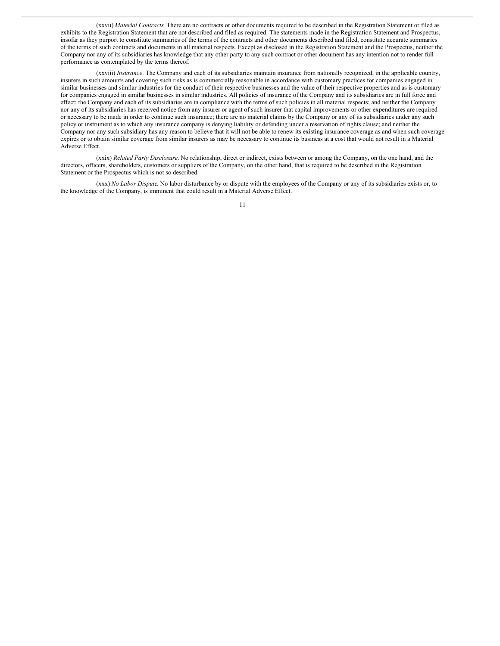(xxvii) *Material Contracts*. There are no contracts or other documents required to be described in the Registration Statement or filed as exhibits to the Registration Statement that are not described and filed as required. The statements made in the Registration Statement and Prospectus, insofar as they purport to constitute summaries of the terms of the contracts and other documents described and filed, constitute accurate summaries of the terms of such contracts and documents in all material respects. Except as disclosed in the Registration Statement and the Prospectus, neither the Company nor any of its subsidiaries has knowledge that any other party to any such contract or other document has any intention not to render full performance as contemplated by the terms thereof.

(xxviii) *Insurance*. The Company and each of its subsidiaries maintain insurance from nationally recognized, in the applicable country, insurers in such amounts and covering such risks as is commercially reasonable in accordance with customary practices for companies engaged in similar businesses and similar industries for the conduct of their respective businesses and the value of their respective properties and as is customary for companies engaged in similar businesses in similar industries. All policies of insurance of the Company and its subsidiaries are in full force and effect; the Company and each of its subsidiaries are in compliance with the terms of such policies in all material respects; and neither the Company nor any of its subsidiaries has received notice from any insurer or agent of such insurer that capital improvements or other expenditures are required or necessary to be made in order to continue such insurance; there are no material claims by the Company or any of its subsidiaries under any such policy or instrument as to which any insurance company is denying liability or defending under a reservation of rights clause; and neither the Company nor any such subsidiary has any reason to believe that it will not be able to renew its existing insurance coverage as and when such coverage expires or to obtain similar coverage from similar insurers as may be necessary to continue its business at a cost that would not result in a Material Adverse Effect.

(xxix) *Related Party Disclosure*. No relationship, direct or indirect, exists between or among the Company, on the one hand, and the directors, officers, shareholders, customers or suppliers of the Company, on the other hand, that is required to be described in the Registration Statement or the Prospectus which is not so described.

(xxx) *No Labor Dispute*. No labor disturbance by or dispute with the employees of the Company or any of its subsidiaries exists or, to the knowledge of the Company, is imminent that could result in a Material Adverse Effect.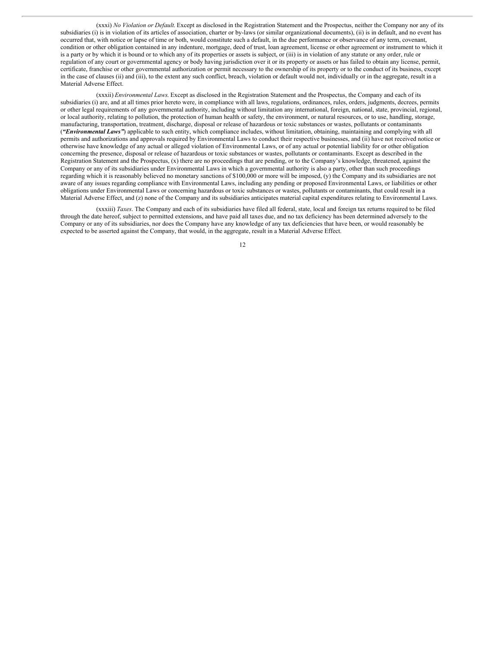(xxxi) *No Violation or Default*. Except as disclosed in the Registration Statement and the Prospectus, neither the Company nor any of its subsidiaries (i) is in violation of its articles of association, charter or by-laws (or similar organizational documents), (ii) is in default, and no event has occurred that, with notice or lapse of time or both, would constitute such a default, in the due performance or observance of any term, covenant, condition or other obligation contained in any indenture, mortgage, deed of trust, loan agreement, license or other agreement or instrument to which it is a party or by which it is bound or to which any of its properties or assets is subject, or (iii) is in violation of any statute or any order, rule or regulation of any court or governmental agency or body having jurisdiction over it or its property or assets or has failed to obtain any license, permit, certificate, franchise or other governmental authorization or permit necessary to the ownership of its property or to the conduct of its business, except in the case of clauses (ii) and (iii), to the extent any such conflict, breach, violation or default would not, individually or in the aggregate, result in a Material Adverse Effect.

(xxxii) *Environmental Laws*. Except as disclosed in the Registration Statement and the Prospectus, the Company and each of its subsidiaries (i) are, and at all times prior hereto were, in compliance with all laws, regulations, ordinances, rules, orders, judgments, decrees, permits or other legal requirements of any governmental authority, including without limitation any international, foreign, national, state, provincial, regional, or local authority, relating to pollution, the protection of human health or safety, the environment, or natural resources, or to use, handling, storage, manufacturing, transportation, treatment, discharge, disposal or release of hazardous or toxic substances or wastes, pollutants or contaminants (*"Environmental Laws"*) applicable to such entity, which compliance includes, without limitation, obtaining, maintaining and complying with all permits and authorizations and approvals required by Environmental Laws to conduct their respective businesses, and (ii) have not received notice or otherwise have knowledge of any actual or alleged violation of Environmental Laws, or of any actual or potential liability for or other obligation concerning the presence, disposal or release of hazardous or toxic substances or wastes, pollutants or contaminants. Except as described in the Registration Statement and the Prospectus, (x) there are no proceedings that are pending, or to the Company's knowledge, threatened, against the Company or any of its subsidiaries under Environmental Laws in which a governmental authority is also a party, other than such proceedings regarding which it is reasonably believed no monetary sanctions of \$100,000 or more will be imposed, (y) the Company and its subsidiaries are not aware of any issues regarding compliance with Environmental Laws, including any pending or proposed Environmental Laws, or liabilities or other obligations under Environmental Laws or concerning hazardous or toxic substances or wastes, pollutants or contaminants, that could result in a Material Adverse Effect, and (z) none of the Company and its subsidiaries anticipates material capital expenditures relating to Environmental Laws.

(xxxiii) *Taxes*. The Company and each of its subsidiaries have filed all federal, state, local and foreign tax returns required to be filed through the date hereof, subject to permitted extensions, and have paid all taxes due, and no tax deficiency has been determined adversely to the Company or any of its subsidiaries, nor does the Company have any knowledge of any tax deficiencies that have been, or would reasonably be expected to be asserted against the Company, that would, in the aggregate, result in a Material Adverse Effect.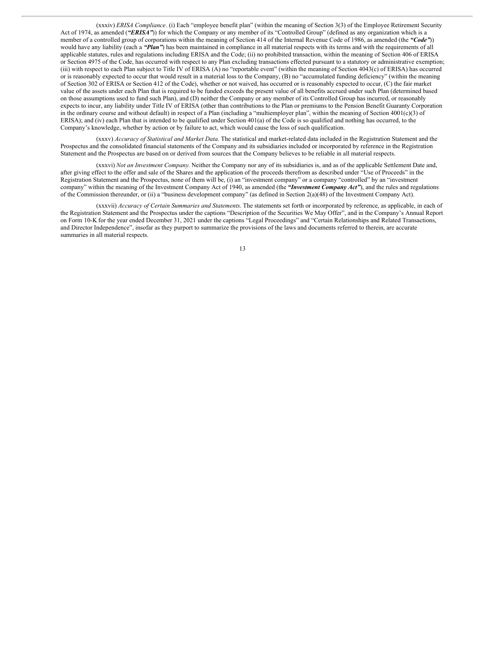(xxxiv) *ERISA Compliance*. (i) Each "employee benefit plan" (within the meaning of Section 3(3) of the Employee Retirement Security Act of 1974, as amended (*"ERISA"*)) for which the Company or any member of its "Controlled Group" (defined as any organization which is a member of a controlled group of corporations within the meaning of Section 414 of the Internal Revenue Code of 1986, as amended (the *"Code"*)) would have any liability (each a *"Plan"*) has been maintained in compliance in all material respects with its terms and with the requirements of all applicable statutes, rules and regulations including ERISA and the Code; (ii) no prohibited transaction, within the meaning of Section 406 of ERISA or Section 4975 of the Code, has occurred with respect to any Plan excluding transactions effected pursuant to a statutory or administrative exemption; (iii) with respect to each Plan subject to Title IV of ERISA (A) no "reportable event" (within the meaning of Section 4043(c) of ERISA) has occurred or is reasonably expected to occur that would result in a material loss to the Company, (B) no "accumulated funding deficiency" (within the meaning of Section 302 of ERISA or Section 412 of the Code), whether or not waived, has occurred or is reasonably expected to occur, (C) the fair market value of the assets under each Plan that is required to be funded exceeds the present value of all benefits accrued under such Plan (determined based on those assumptions used to fund such Plan), and (D) neither the Company or any member of its Controlled Group has incurred, or reasonably expects to incur, any liability under Title IV of ERISA (other than contributions to the Plan or premiums to the Pension Benefit Guaranty Corporation in the ordinary course and without default) in respect of a Plan (including a "multiemployer plan", within the meaning of Section 4001(c)(3) of ERISA); and (iv) each Plan that is intended to be qualified under Section 401(a) of the Code is so qualified and nothing has occurred, to the Company's knowledge, whether by action or by failure to act, which would cause the loss of such qualification.

(xxxv) *Accuracy of Statistical and Market Data*. The statistical and market-related data included in the Registration Statement and the Prospectus and the consolidated financial statements of the Company and its subsidiaries included or incorporated by reference in the Registration Statement and the Prospectus are based on or derived from sources that the Company believes to be reliable in all material respects.

(xxxvi) *Not an Investment Company*. Neither the Company nor any of its subsidiaries is, and as of the applicable Settlement Date and, after giving effect to the offer and sale of the Shares and the application of the proceeds therefrom as described under "Use of Proceeds" in the Registration Statement and the Prospectus, none of them will be, (i) an "investment company" or a company "controlled" by an "investment company" within the meaning of the Investment Company Act of 1940, as amended (the *"Investment Company Act"*), and the rules and regulations of the Commission thereunder, or (ii) a "business development company" (as defined in Section 2(a)(48) of the Investment Company Act).

(xxxvii) *Accuracy of Certain Summaries and Statements*. The statements set forth or incorporated by reference, as applicable, in each of the Registration Statement and the Prospectus under the captions "Description of the Securities We May Offer", and in the Company's Annual Report on Form 10-K for the year ended December 31, 2021 under the captions "Legal Proceedings" and "Certain Relationships and Related Transactions, and Director Independence", insofar as they purport to summarize the provisions of the laws and documents referred to therein, are accurate summaries in all material respects.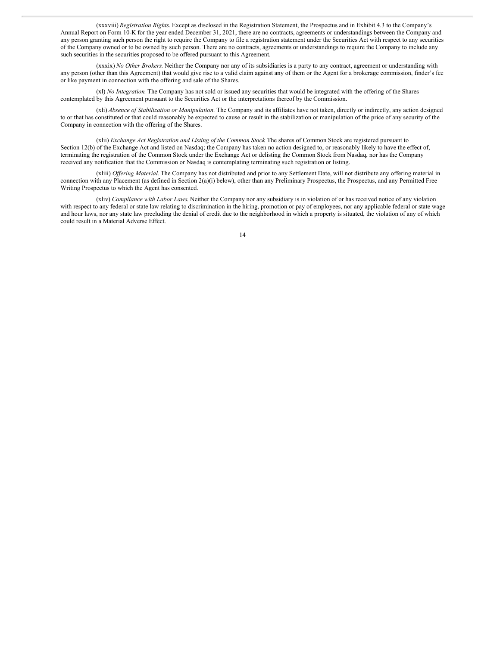(xxxviii) *Registration Rights*. Except as disclosed in the Registration Statement, the Prospectus and in Exhibit 4.3 to the Company's Annual Report on Form 10-K for the year ended December 31, 2021, there are no contracts, agreements or understandings between the Company and any person granting such person the right to require the Company to file a registration statement under the Securities Act with respect to any securities of the Company owned or to be owned by such person. There are no contracts, agreements or understandings to require the Company to include any such securities in the securities proposed to be offered pursuant to this Agreement.

(xxxix) *No Other Brokers*. Neither the Company nor any of its subsidiaries is a party to any contract, agreement or understanding with any person (other than this Agreement) that would give rise to a valid claim against any of them or the Agent for a brokerage commission, finder's fee or like payment in connection with the offering and sale of the Shares.

(xl) *No Integration*. The Company has not sold or issued any securities that would be integrated with the offering of the Shares contemplated by this Agreement pursuant to the Securities Act or the interpretations thereof by the Commission.

(xli) *Absence of Stabilization or Manipulation*. The Company and its affiliates have not taken, directly or indirectly, any action designed to or that has constituted or that could reasonably be expected to cause or result in the stabilization or manipulation of the price of any security of the Company in connection with the offering of the Shares.

(xlii) *Exchange Act Registration and Listing of the Common Stock*. The shares of Common Stock are registered pursuant to Section 12(b) of the Exchange Act and listed on Nasdaq; the Company has taken no action designed to, or reasonably likely to have the effect of, terminating the registration of the Common Stock under the Exchange Act or delisting the Common Stock from Nasdaq, nor has the Company received any notification that the Commission or Nasdaq is contemplating terminating such registration or listing.

(xliii) *Of ering Material*. The Company has not distributed and prior to any Settlement Date, will not distribute any offering material in connection with any Placement (as defined in Section 2(a)(i) below), other than any Preliminary Prospectus, the Prospectus, and any Permitted Free Writing Prospectus to which the Agent has consented.

(xliv) *Compliance with Labor Laws*. Neither the Company nor any subsidiary is in violation of or has received notice of any violation with respect to any federal or state law relating to discrimination in the hiring, promotion or pay of employees, nor any applicable federal or state wage and hour laws, nor any state law precluding the denial of credit due to the neighborhood in which a property is situated, the violation of any of which could result in a Material Adverse Effect.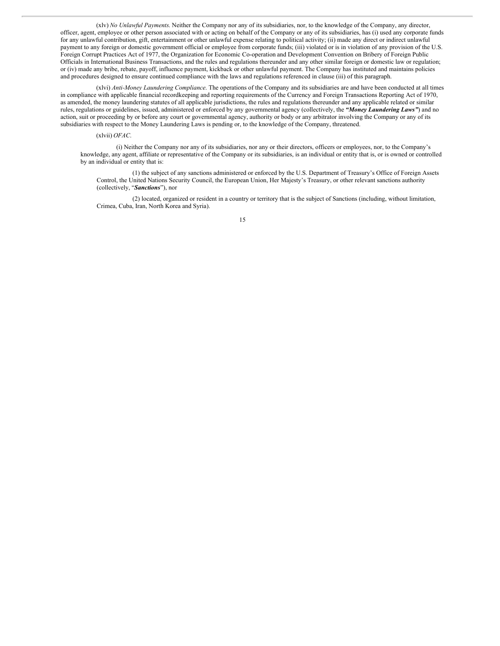(xlv) *No Unlawful Payments*. Neither the Company nor any of its subsidiaries, nor, to the knowledge of the Company, any director, officer, agent, employee or other person associated with or acting on behalf of the Company or any of its subsidiaries, has (i) used any corporate funds for any unlawful contribution, gift, entertainment or other unlawful expense relating to political activity; (ii) made any direct or indirect unlawful payment to any foreign or domestic government official or employee from corporate funds; (iii) violated or is in violation of any provision of the U.S. Foreign Corrupt Practices Act of 1977, the Organization for Economic Co-operation and Development Convention on Bribery of Foreign Public Officials in International Business Transactions, and the rules and regulations thereunder and any other similar foreign or domestic law or regulation; or (iv) made any bribe, rebate, payoff, influence payment, kickback or other unlawful payment. The Company has instituted and maintains policies and procedures designed to ensure continued compliance with the laws and regulations referenced in clause (iii) of this paragraph.

(xlvi) *Anti-Money Laundering Compliance*. The operations of the Company and its subsidiaries are and have been conducted at all times in compliance with applicable financial recordkeeping and reporting requirements of the Currency and Foreign Transactions Reporting Act of 1970, as amended, the money laundering statutes of all applicable jurisdictions, the rules and regulations thereunder and any applicable related or similar rules, regulations or guidelines, issued, administered or enforced by any governmental agency (collectively, the *"Money Laundering Laws"*) and no action, suit or proceeding by or before any court or governmental agency, authority or body or any arbitrator involving the Company or any of its subsidiaries with respect to the Money Laundering Laws is pending or, to the knowledge of the Company, threatened.

(xlvii) *OFAC*.

(i) Neither the Company nor any of its subsidiaries, nor any or their directors, officers or employees, nor, to the Company's knowledge, any agent, affiliate or representative of the Company or its subsidiaries, is an individual or entity that is, or is owned or controlled by an individual or entity that is:

(1) the subject of any sanctions administered or enforced by the U.S. Department of Treasury's Office of Foreign Assets Control, the United Nations Security Council, the European Union, Her Majesty's Treasury, or other relevant sanctions authority (collectively, "*Sanctions*"), nor

(2) located, organized or resident in a country or territory that is the subject of Sanctions (including, without limitation, Crimea, Cuba, Iran, North Korea and Syria).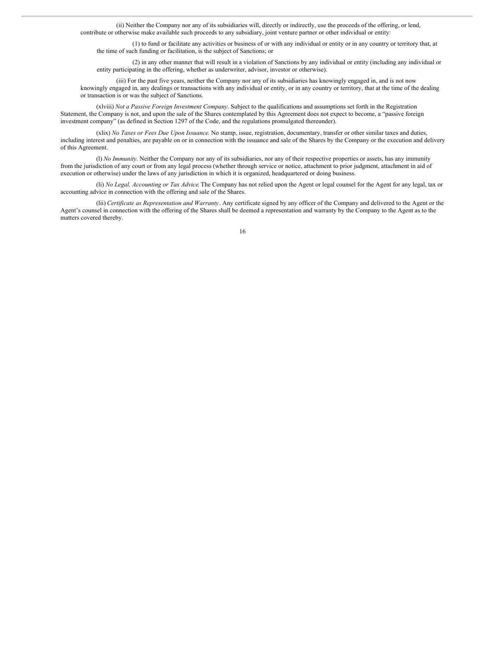(ii) Neither the Company nor any of its subsidiaries will, directly or indirectly, use the proceeds of the offering, or lend, contribute or otherwise make available such proceeds to any subsidiary, joint venture partner or other individual or entity:

(1) to fund or facilitate any activities or business of or with any individual or entity or in any country or territory that, at the time of such funding or facilitation, is the subject of Sanctions; or

(2) in any other manner that will result in a violation of Sanctions by any individual or entity (including any individual or entity participating in the offering, whether as underwriter, advisor, investor or otherwise).

(iii) For the past five years, neither the Company nor any of its subsidiaries has knowingly engaged in, and is not now knowingly engaged in, any dealings or transactions with any individual or entity, or in any country or territory, that at the time of the dealing or transaction is or was the subject of Sanctions.

(xlviii) *Not a Passive Foreign Investment Company*. Subject to the qualifications and assumptions set forth in the Registration Statement, the Company is not, and upon the sale of the Shares contemplated by this Agreement does not expect to become, a "passive foreign investment company" (as defined in Section 1297 of the Code, and the regulations promulgated thereunder).

(xlix) *No Taxes or Fees Due Upon Issuance*. No stamp, issue, registration, documentary, transfer or other similar taxes and duties, including interest and penalties, are payable on or in connection with the issuance and sale of the Shares by the Company or the execution and delivery of this Agreement.

(l) *No Immunity*. Neither the Company nor any of its subsidiaries, nor any of their respective properties or assets, has any immunity from the jurisdiction of any court or from any legal process (whether through service or notice, attachment to prior judgment, attachment in aid of execution or otherwise) under the laws of any jurisdiction in which it is organized, headquartered or doing business.

(li) *No Legal, Accounting or Tax Advice*. The Company has not relied upon the Agent or legal counsel for the Agent for any legal, tax or accounting advice in connection with the offering and sale of the Shares.

(lii) *Certificate as Representation and Warranty*. Any certificate signed by any officer of the Company and delivered to the Agent or the Agent's counsel in connection with the offering of the Shares shall be deemed a representation and warranty by the Company to the Agent as to the matters covered thereby.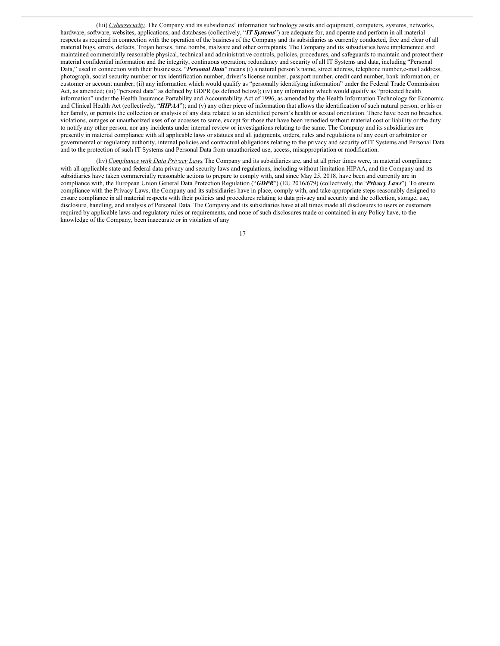(liii) *Cybersecurity.* The Company and its subsidiaries' information technology assets and equipment, computers, systems, networks, hardware, software, websites, applications, and databases (collectively, "*IT Systems*") are adequate for, and operate and perform in all material respects as required in connection with the operation of the business of the Company and its subsidiaries as currently conducted, free and clear of all material bugs, errors, defects, Trojan horses, time bombs, malware and other corruptants. The Company and its subsidiaries have implemented and maintained commercially reasonable physical, technical and administrative controls, policies, procedures, and safeguards to maintain and protect their material confidential information and the integrity, continuous operation, redundancy and security of all IT Systems and data, including "Personal Data," used in connection with their businesses. "*Personal Data*" means (i) a natural person's name, street address, telephone number,e-mail address, photograph, social security number or tax identification number, driver's license number, passport number, credit card number, bank information, or customer or account number; (ii) any information which would qualify as "personally identifying information" under the Federal Trade Commission Act, as amended; (iii) "personal data" as defined by GDPR (as defined below); (iv) any information which would qualify as "protected health information" under the Health Insurance Portability and Accountability Act of 1996, as amended by the Health Information Technology for Economic and Clinical Health Act (collectively, "*HIPAA*"); and (v) any other piece of information that allows the identification of such natural person, or his or her family, or permits the collection or analysis of any data related to an identified person's health or sexual orientation. There have been no breaches, violations, outages or unauthorized uses of or accesses to same, except for those that have been remedied without material cost or liability or the duty to notify any other person, nor any incidents under internal review or investigations relating to the same. The Company and its subsidiaries are presently in material compliance with all applicable laws or statutes and all judgments, orders, rules and regulations of any court or arbitrator or governmental or regulatory authority, internal policies and contractual obligations relating to the privacy and security of IT Systems and Personal Data and to the protection of such IT Systems and Personal Data from unauthorized use, access, misappropriation or modification.

(liv) *Compliance with Data Privacy Laws.* The Company and its subsidiaries are, and at all prior times were, in material compliance with all applicable state and federal data privacy and security laws and regulations, including without limitation HIPAA, and the Company and its subsidiaries have taken commercially reasonable actions to prepare to comply with, and since May 25, 2018, have been and currently are in compliance with, the European Union General Data Protection Regulation ("*GDPR*") (EU 2016/679) (collectively, the "*Privacy Laws*"). To ensure compliance with the Privacy Laws, the Company and its subsidiaries have in place, comply with, and take appropriate steps reasonably designed to ensure compliance in all material respects with their policies and procedures relating to data privacy and security and the collection, storage, use, disclosure, handling, and analysis of Personal Data. The Company and its subsidiaries have at all times made all disclosures to users or customers required by applicable laws and regulatory rules or requirements, and none of such disclosures made or contained in any Policy have, to the knowledge of the Company, been inaccurate or in violation of any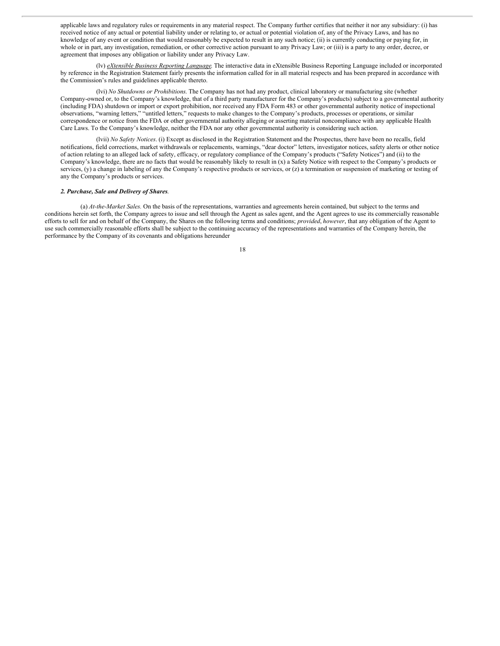applicable laws and regulatory rules or requirements in any material respect. The Company further certifies that neither it nor any subsidiary: (i) has received notice of any actual or potential liability under or relating to, or actual or potential violation of, any of the Privacy Laws, and has no knowledge of any event or condition that would reasonably be expected to result in any such notice; (ii) is currently conducting or paying for, in whole or in part, any investigation, remediation, or other corrective action pursuant to any Privacy Law; or (iii) is a party to any order, decree, or agreement that imposes any obligation or liability under any Privacy Law.

(lv) *eXtensible Business Reporting Language*. The interactive data in eXtensible Business Reporting Language included or incorporated by reference in the Registration Statement fairly presents the information called for in all material respects and has been prepared in accordance with the Commission's rules and guidelines applicable thereto.

(lvi) *No Shutdowns or Prohibitions*. The Company has not had any product, clinical laboratory or manufacturing site (whether Company-owned or, to the Company's knowledge, that of a third party manufacturer for the Company's products) subject to a governmental authority (including FDA) shutdown or import or export prohibition, nor received any FDA Form 483 or other governmental authority notice of inspectional observations, "warning letters," "untitled letters," requests to make changes to the Company's products, processes or operations, or similar correspondence or notice from the FDA or other governmental authority alleging or asserting material noncompliance with any applicable Health Care Laws. To the Company's knowledge, neither the FDA nor any other governmental authority is considering such action.

(lvii) *No Safety Notices*. (i) Except as disclosed in the Registration Statement and the Prospectus, there have been no recalls, field notifications, field corrections, market withdrawals or replacements, warnings, "dear doctor" letters, investigator notices, safety alerts or other notice of action relating to an alleged lack of safety, efficacy, or regulatory compliance of the Company's products ("Safety Notices") and (ii) to the Company's knowledge, there are no facts that would be reasonably likely to result in (x) a Safety Notice with respect to the Company's products or services, (y) a change in labeling of any the Company's respective products or services, or (z) a termination or suspension of marketing or testing of any the Company's products or services.

#### *2. Purchase, Sale and Delivery of Shares*.

(a) *At-the-Market Sales.* On the basis of the representations, warranties and agreements herein contained, but subject to the terms and conditions herein set forth, the Company agrees to issue and sell through the Agent as sales agent, and the Agent agrees to use its commercially reasonable efforts to sell for and on behalf of the Company, the Shares on the following terms and conditions; *provided*, *however*, that any obligation of the Agent to use such commercially reasonable efforts shall be subject to the continuing accuracy of the representations and warranties of the Company herein, the performance by the Company of its covenants and obligations hereunder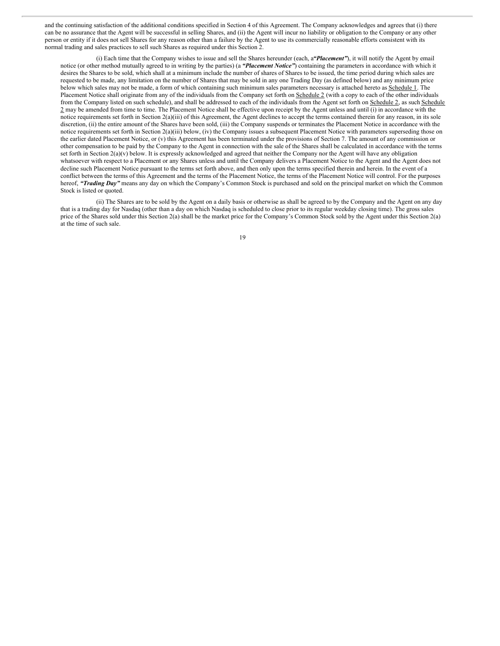and the continuing satisfaction of the additional conditions specified in Section 4 of this Agreement. The Company acknowledges and agrees that (i) there can be no assurance that the Agent will be successful in selling Shares, and (ii) the Agent will incur no liability or obligation to the Company or any other person or entity if it does not sell Shares for any reason other than a failure by the Agent to use its commercially reasonable efforts consistent with its normal trading and sales practices to sell such Shares as required under this Section 2.

(i) Each time that the Company wishes to issue and sell the Shares hereunder (each, a*"Placement"*), it will notify the Agent by email notice (or other method mutually agreed to in writing by the parties) (a *"Placement Notice"*) containing the parameters in accordance with which it desires the Shares to be sold, which shall at a minimum include the number of shares of Shares to be issued, the time period during which sales are requested to be made, any limitation on the number of Shares that may be sold in any one Trading Day (as defined below) and any minimum price below which sales may not be made, a form of which containing such minimum sales parameters necessary is attached hereto as Schedule 1. The Placement Notice shall originate from any of the individuals from the Company set forth on Schedule 2 (with a copy to each of the other individuals from the Company listed on such schedule), and shall be addressed to each of the individuals from the Agent set forth on Schedule 2, as such Schedule 2 may be amended from time to time. The Placement Notice shall be effective upon receipt by the Agent unless and until (i) in accordance with the notice requirements set forth in Section 2(a)(iii) of this Agreement, the Agent declines to accept the terms contained therein for any reason, in its sole discretion, (ii) the entire amount of the Shares have been sold, (iii) the Company suspends or terminates the Placement Notice in accordance with the notice requirements set forth in Section 2(a)(iii) below, (iv) the Company issues a subsequent Placement Notice with parameters superseding those on the earlier dated Placement Notice, or (v) this Agreement has been terminated under the provisions of Section 7. The amount of any commission or other compensation to be paid by the Company to the Agent in connection with the sale of the Shares shall be calculated in accordance with the terms set forth in Section 2(a)(v) below. It is expressly acknowledged and agreed that neither the Company nor the Agent will have any obligation whatsoever with respect to a Placement or any Shares unless and until the Company delivers a Placement Notice to the Agent and the Agent does not decline such Placement Notice pursuant to the terms set forth above, and then only upon the terms specified therein and herein. In the event of a conflict between the terms of this Agreement and the terms of the Placement Notice, the terms of the Placement Notice will control. For the purposes hereof, *"Trading Day"* means any day on which the Company's Common Stock is purchased and sold on the principal market on which the Common Stock is listed or quoted.

(ii) The Shares are to be sold by the Agent on a daily basis or otherwise as shall be agreed to by the Company and the Agent on any day that is a trading day for Nasdaq (other than a day on which Nasdaq is scheduled to close prior to its regular weekday closing time). The gross sales price of the Shares sold under this Section 2(a) shall be the market price for the Company's Common Stock sold by the Agent under this Section 2(a) at the time of such sale.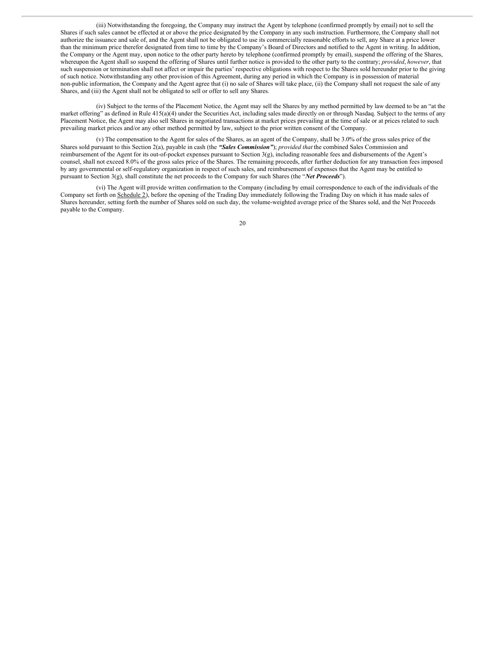(iii) Notwithstanding the foregoing, the Company may instruct the Agent by telephone (confirmed promptly by email) not to sell the Shares if such sales cannot be effected at or above the price designated by the Company in any such instruction. Furthermore, the Company shall not authorize the issuance and sale of, and the Agent shall not be obligated to use its commercially reasonable efforts to sell, any Share at a price lower than the minimum price therefor designated from time to time by the Company's Board of Directors and notified to the Agent in writing. In addition, the Company or the Agent may, upon notice to the other party hereto by telephone (confirmed promptly by email), suspend the offering of the Shares, whereupon the Agent shall so suspend the offering of Shares until further notice is provided to the other party to the contrary; *provided*, *however*, that such suspension or termination shall not affect or impair the parties' respective obligations with respect to the Shares sold hereunder prior to the giving of such notice. Notwithstanding any other provision of this Agreement, during any period in which the Company is in possession of material non-public information, the Company and the Agent agree that (i) no sale of Shares will take place, (ii) the Company shall not request the sale of any Shares, and (iii) the Agent shall not be obligated to sell or offer to sell any Shares.

(iv) Subject to the terms of the Placement Notice, the Agent may sell the Shares by any method permitted by law deemed to be an "at the market offering" as defined in Rule 415(a)(4) under the Securities Act, including sales made directly on or through Nasdaq. Subject to the terms of any Placement Notice, the Agent may also sell Shares in negotiated transactions at market prices prevailing at the time of sale or at prices related to such prevailing market prices and/or any other method permitted by law, subject to the prior written consent of the Company.

(v) The compensation to the Agent for sales of the Shares, as an agent of the Company, shall be 3.0% of the gross sales price of the Shares sold pursuant to this Section 2(a), payable in cash (the *"Sales Commission"*); *provided that* the combined Sales Commission and reimbursement of the Agent for its out-of-pocket expenses pursuant to Section 3(g), including reasonable fees and disbursements of the Agent's counsel, shall not exceed 8.0% of the gross sales price of the Shares. The remaining proceeds, after further deduction for any transaction fees imposed by any governmental or self-regulatory organization in respect of such sales, and reimbursement of expenses that the Agent may be entitled to pursuant to Section 3(g), shall constitute the net proceeds to the Company for such Shares (the "*Net Proceeds*").

(vi) The Agent will provide written confirmation to the Company (including by email correspondence to each of the individuals of the Company set forth on Schedule 2), before the opening of the Trading Day immediately following the Trading Day on which it has made sales of Shares hereunder, setting forth the number of Shares sold on such day, the volume-weighted average price of the Shares sold, and the Net Proceeds payable to the Company.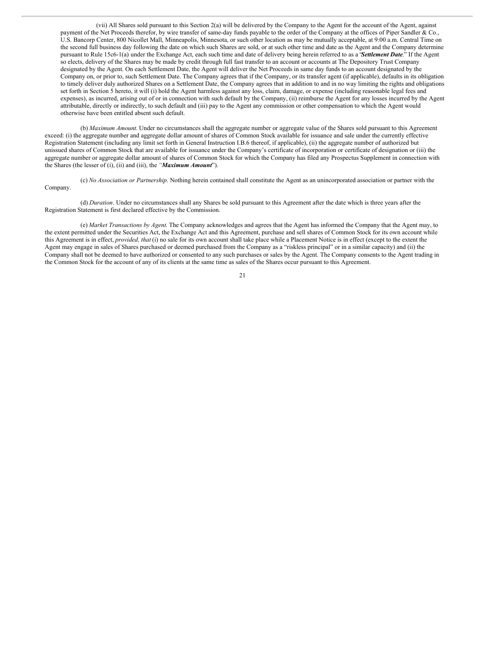(vii) All Shares sold pursuant to this Section 2(a) will be delivered by the Company to the Agent for the account of the Agent, against payment of the Net Proceeds therefor, by wire transfer of same-day funds payable to the order of the Company at the offices of Piper Sandler & Co., U.S. Bancorp Center, 800 Nicollet Mall, Minneapolis, Minnesota, or such other location as may be mutually acceptable, at 9:00 a.m. Central Time on the second full business day following the date on which such Shares are sold, or at such other time and date as the Agent and the Company determine pursuant to Rule 15c6-1(a) under the Exchange Act, each such time and date of delivery being herein referred to as a "*Settlement Date*." If the Agent so elects, delivery of the Shares may be made by credit through full fast transfer to an account or accounts at The Depository Trust Company designated by the Agent. On each Settlement Date, the Agent will deliver the Net Proceeds in same day funds to an account designated by the Company on, or prior to, such Settlement Date. The Company agrees that if the Company, or its transfer agent (if applicable), defaults in its obligation to timely deliver duly authorized Shares on a Settlement Date, the Company agrees that in addition to and in no way limiting the rights and obligations set forth in Section 5 hereto, it will (i) hold the Agent harmless against any loss, claim, damage, or expense (including reasonable legal fees and expenses), as incurred, arising out of or in connection with such default by the Company, (ii) reimburse the Agent for any losses incurred by the Agent attributable, directly or indirectly, to such default and (iii) pay to the Agent any commission or other compensation to which the Agent would otherwise have been entitled absent such default.

(b) *Maximum Amount*. Under no circumstances shall the aggregate number or aggregate value of the Shares sold pursuant to this Agreement exceed: (i) the aggregate number and aggregate dollar amount of shares of Common Stock available for issuance and sale under the currently effective Registration Statement (including any limit set forth in General Instruction I.B.6 thereof, if applicable), (ii) the aggregate number of authorized but unissued shares of Common Stock that are available for issuance under the Company's certificate of incorporation or certificate of designation or (iii) the aggregate number or aggregate dollar amount of shares of Common Stock for which the Company has filed any Prospectus Supplement in connection with the Shares (the lesser of (i), (ii) and (iii), the *"Maximum Amount*").

(c) *No Association or Partnership*. Nothing herein contained shall constitute the Agent as an unincorporated association or partner with the Company.

(d) *Duration*. Under no circumstances shall any Shares be sold pursuant to this Agreement after the date which is three years after the Registration Statement is first declared effective by the Commission.

(e) *Market Transactions by Agent*. The Company acknowledges and agrees that the Agent has informed the Company that the Agent may, to the extent permitted under the Securities Act, the Exchange Act and this Agreement, purchase and sell shares of Common Stock for its own account while this Agreement is in effect, *provided, that* (i) no sale for its own account shall take place while a Placement Notice is in effect (except to the extent the Agent may engage in sales of Shares purchased or deemed purchased from the Company as a "riskless principal" or in a similar capacity) and (ii) the Company shall not be deemed to have authorized or consented to any such purchases or sales by the Agent. The Company consents to the Agent trading in the Common Stock for the account of any of its clients at the same time as sales of the Shares occur pursuant to this Agreement.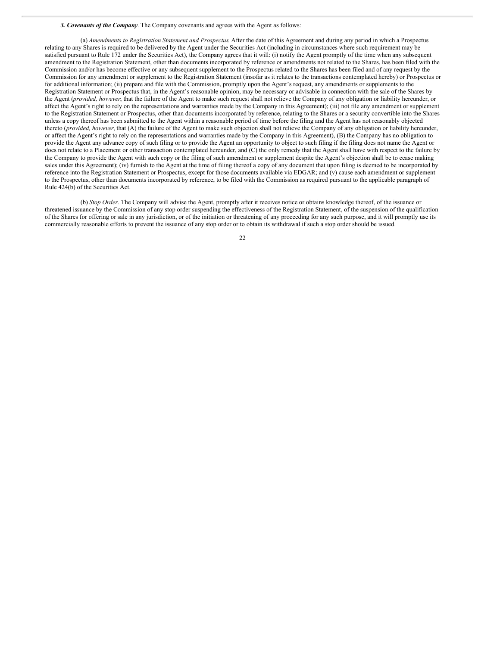#### *3. Covenants of the Company*. The Company covenants and agrees with the Agent as follows:

(a) *Amendments to Registration Statement and Prospectus*. After the date of this Agreement and during any period in which a Prospectus relating to any Shares is required to be delivered by the Agent under the Securities Act (including in circumstances where such requirement may be satisfied pursuant to Rule 172 under the Securities Act), the Company agrees that it will: (i) notify the Agent promptly of the time when any subsequent amendment to the Registration Statement, other than documents incorporated by reference or amendments not related to the Shares, has been filed with the Commission and/or has become effective or any subsequent supplement to the Prospectus related to the Shares has been filed and of any request by the Commission for any amendment or supplement to the Registration Statement (insofar as it relates to the transactions contemplated hereby) or Prospectus or for additional information; (ii) prepare and file with the Commission, promptly upon the Agent's request, any amendments or supplements to the Registration Statement or Prospectus that, in the Agent's reasonable opinion, may be necessary or advisable in connection with the sale of the Shares by the Agent (*provided, however*, that the failure of the Agent to make such request shall not relieve the Company of any obligation or liability hereunder, or affect the Agent's right to rely on the representations and warranties made by the Company in this Agreement); (iii) not file any amendment or supplement to the Registration Statement or Prospectus, other than documents incorporated by reference, relating to the Shares or a security convertible into the Shares unless a copy thereof has been submitted to the Agent within a reasonable period of time before the filing and the Agent has not reasonably objected thereto (*provided, however*, that (A) the failure of the Agent to make such objection shall not relieve the Company of any obligation or liability hereunder, or affect the Agent's right to rely on the representations and warranties made by the Company in this Agreement), (B) the Company has no obligation to provide the Agent any advance copy of such filing or to provide the Agent an opportunity to object to such filing if the filing does not name the Agent or does not relate to a Placement or other transaction contemplated hereunder, and (C) the only remedy that the Agent shall have with respect to the failure by the Company to provide the Agent with such copy or the filing of such amendment or supplement despite the Agent's objection shall be to cease making sales under this Agreement); (iv) furnish to the Agent at the time of filing thereof a copy of any document that upon filing is deemed to be incorporated by reference into the Registration Statement or Prospectus, except for those documents available via EDGAR; and (v) cause each amendment or supplement to the Prospectus, other than documents incorporated by reference, to be filed with the Commission as required pursuant to the applicable paragraph of Rule 424(b) of the Securities Act.

(b) *Stop Order*. The Company will advise the Agent, promptly after it receives notice or obtains knowledge thereof, of the issuance or threatened issuance by the Commission of any stop order suspending the effectiveness of the Registration Statement, of the suspension of the qualification of the Shares for offering or sale in any jurisdiction, or of the initiation or threatening of any proceeding for any such purpose, and it will promptly use its commercially reasonable efforts to prevent the issuance of any stop order or to obtain its withdrawal if such a stop order should be issued.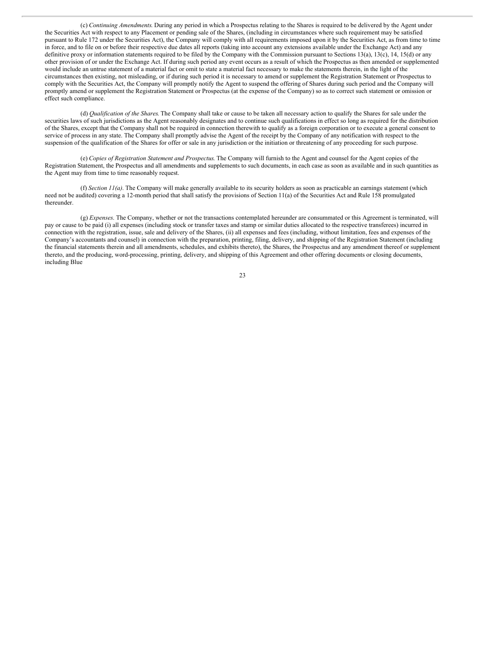<span id="page-27-0"></span>(c) *Continuing Amendments*. During any period in which a Prospectus relating to the Shares is required to be delivered by the Agent under the Securities Act with respect to any Placement or pending sale of the Shares, (including in circumstances where such requirement may be satisfied pursuant to Rule 172 under the Securities Act), the Company will comply with all requirements imposed upon it by the Securities Act, as from time to time in force, and to file on or before their respective due dates all reports (taking into account any extensions available under the Exchange Act) and any definitive proxy or information statements required to be filed by the Company with the Commission pursuant to Sections 13(a), 13(c), 14, 15(d) or any other provision of or under the Exchange Act. If during such period any event occurs as a result of which the Prospectus as then amended or supplemented would include an untrue statement of a material fact or omit to state a material fact necessary to make the statements therein, in the light of the circumstances then existing, not misleading, or if during such period it is necessary to amend or supplement the Registration Statement or Prospectus to comply with the Securities Act, the Company will promptly notify the Agent to suspend the offering of Shares during such period and the Company will promptly amend or supplement the Registration Statement or Prospectus (at the expense of the Company) so as to correct such statement or omission or effect such compliance.

(d) *Qualification of the Shares*. The Company shall take or cause to be taken all necessary action to qualify the Shares for sale under the securities laws of such jurisdictions as the Agent reasonably designates and to continue such qualifications in effect so long as required for the distribution of the Shares, except that the Company shall not be required in connection therewith to qualify as a foreign corporation or to execute a general consent to service of process in any state. The Company shall promptly advise the Agent of the receipt by the Company of any notification with respect to the suspension of the qualification of the Shares for offer or sale in any jurisdiction or the initiation or threatening of any proceeding for such purpose.

(e) *Copies of Registration Statement and Prospectus*. The Company will furnish to the Agent and counsel for the Agent copies of the Registration Statement, the Prospectus and all amendments and supplements to such documents, in each case as soon as available and in such quantities as the Agent may from time to time reasonably request.

(f) *Section 11(a)*. The Company will make generally available to its security holders as soon as practicable an earnings statement (which need not be audited) covering a 12-month period that shall satisfy the provisions of Section 11(a) of the Securities Act and Rule 158 promulgated thereunder.

(g) *Expenses*. The Company, whether or not the transactions contemplated hereunder are consummated or this Agreement is terminated, will pay or cause to be paid (i) all expenses (including stock or transfer taxes and stamp or similar duties allocated to the respective transferees) incurred in connection with the registration, issue, sale and delivery of the Shares, (ii) all expenses and fees (including, without limitation, fees and expenses of the Company's accountants and counsel) in connection with the preparation, printing, filing, delivery, and shipping of the Registration Statement (including the financial statements therein and all amendments, schedules, and exhibits thereto), the Shares, the Prospectus and any amendment thereof or supplement thereto, and the producing, word-processing, printing, delivery, and shipping of this Agreement and other offering documents or closing documents, including Blue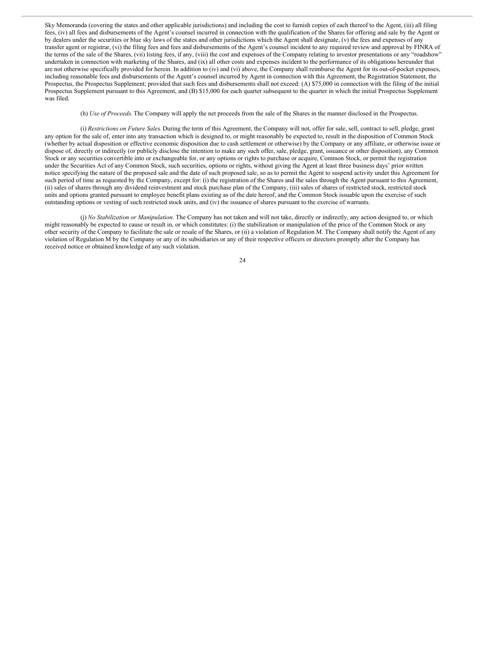Sky Memoranda (covering the states and other applicable jurisdictions) and including the cost to furnish copies of each thereof to the Agent, (iii) all filing fees, (iv) all fees and disbursements of the Agent's counsel incurred in connection with the qualification of the Shares for offering and sale by the Agent or by dealers under the securities or blue sky laws of the states and other jurisdictions which the Agent shall designate, (v) the fees and expenses of any transfer agent or registrar, (vi) the filing fees and fees and disbursements of the Agent's counsel incident to any required review and approval by FINRA of the terms of the sale of the Shares, (vii) listing fees, if any, (viii) the cost and expenses of the Company relating to investor presentations or any "roadshow" undertaken in connection with marketing of the Shares, and (ix) all other costs and expenses incident to the performance of its obligations hereunder that are not otherwise specifically provided for herein. In addition to (iv) and (vi) above, the Company shall reimburse the Agent for its out-of-pocket expenses, including reasonable fees and disbursements of the Agent's counsel incurred by Agent in connection with this Agreement, the Registration Statement, the Prospectus, the Prospectus Supplement; provided that such fees and disbursements shall not exceed: (A) \$75,000 in connection with the filing of the initial Prospectus Supplement pursuant to this Agreement, and (B) \$15,000 for each quarter subsequent to the quarter in which the initial Prospectus Supplement was filed.

(h) *Use of Proceeds*. The Company will apply the net proceeds from the sale of the Shares in the manner disclosed in the Prospectus.

(i) *Restrictions on Future Sales*. During the term of this Agreement, the Company will not, offer for sale, sell, contract to sell, pledge, grant any option for the sale of, enter into any transaction which is designed to, or might reasonably be expected to, result in the disposition of Common Stock (whether by actual disposition or effective economic disposition due to cash settlement or otherwise) by the Company or any affiliate, or otherwise issue or dispose of, directly or indirectly (or publicly disclose the intention to make any such offer, sale, pledge, grant, issuance or other disposition), any Common Stock or any securities convertible into or exchangeable for, or any options or rights to purchase or acquire, Common Stock, or permit the registration under the Securities Act of any Common Stock, such securities, options or rights, without giving the Agent at least three business days' prior written notice specifying the nature of the proposed sale and the date of such proposed sale, so as to permit the Agent to suspend activity under this Agreement for such period of time as requested by the Company, except for: (i) the registration of the Shares and the sales through the Agent pursuant to this Agreement, (ii) sales of shares through any dividend reinvestment and stock purchase plan of the Company, (iii) sales of shares of restricted stock, restricted stock units and options granted pursuant to employee benefit plans existing as of the date hereof, and the Common Stock issuable upon the exercise of such outstanding options or vesting of such restricted stock units, and (iv) the issuance of shares pursuant to the exercise of warrants.

(j) *No Stabilization or Manipulation*. The Company has not taken and will not take, directly or indirectly, any action designed to, or which might reasonably be expected to cause or result in, or which constitutes: (i) the stabilization or manipulation of the price of the Common Stock or any other security of the Company to facilitate the sale or resale of the Shares, or (ii) a violation of Regulation M. The Company shall notify the Agent of any violation of Regulation M by the Company or any of its subsidiaries or any of their respective officers or directors promptly after the Company has received notice or obtained knowledge of any such violation.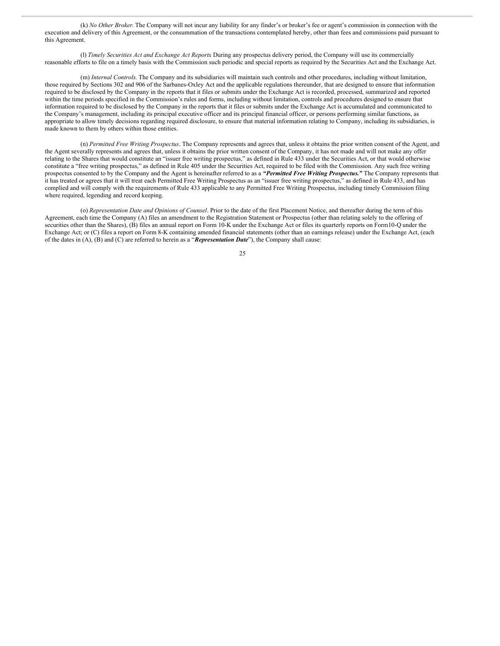(k) *No Other Broker*. The Company will not incur any liability for any finder's or broker's fee or agent's commission in connection with the execution and delivery of this Agreement, or the consummation of the transactions contemplated hereby, other than fees and commissions paid pursuant to this Agreement.

(l) *Timely Securities Act and Exchange Act Reports*. During any prospectus delivery period, the Company will use its commercially reasonable efforts to file on a timely basis with the Commission such periodic and special reports as required by the Securities Act and the Exchange Act.

(m) *Internal Controls*. The Company and its subsidiaries will maintain such controls and other procedures, including without limitation, those required by Sections 302 and 906 of the Sarbanes-Oxley Act and the applicable regulations thereunder, that are designed to ensure that information required to be disclosed by the Company in the reports that it files or submits under the Exchange Act is recorded, processed, summarized and reported within the time periods specified in the Commission's rules and forms, including without limitation, controls and procedures designed to ensure that information required to be disclosed by the Company in the reports that it files or submits under the Exchange Act is accumulated and communicated to the Company's management, including its principal executive officer and its principal financial officer, or persons performing similar functions, as appropriate to allow timely decisions regarding required disclosure, to ensure that material information relating to Company, including its subsidiaries, is made known to them by others within those entities.

(n) *Permitted Free Writing Prospectus*. The Company represents and agrees that, unless it obtains the prior written consent of the Agent, and the Agent severally represents and agrees that, unless it obtains the prior written consent of the Company, it has not made and will not make any offer relating to the Shares that would constitute an "issuer free writing prospectus," as defined in Rule 433 under the Securities Act, or that would otherwise constitute a "free writing prospectus," as defined in Rule 405 under the Securities Act, required to be filed with the Commission. Any such free writing prospectus consented to by the Company and the Agent is hereinafter referred to as a *"Permitted Free Writing Prospectus."* The Company represents that it has treated or agrees that it will treat each Permitted Free Writing Prospectus as an "issuer free writing prospectus," as defined in Rule 433, and has complied and will comply with the requirements of Rule 433 applicable to any Permitted Free Writing Prospectus, including timely Commission filing where required, legending and record keeping.

(o) *Representation Date and Opinions of Counsel*. Prior to the date of the first Placement Notice, and thereafter during the term of this Agreement, each time the Company (A) files an amendment to the Registration Statement or Prospectus (other than relating solely to the offering of securities other than the Shares), (B) files an annual report on Form 10-K under the Exchange Act or files its quarterly reports on Form10-Q under the Exchange Act; or (C) files a report on Form 8-K containing amended financial statements (other than an earnings release) under the Exchange Act, (each of the dates in (A), (B) and (C) are referred to herein as a "*Representation Date*"), the Company shall cause: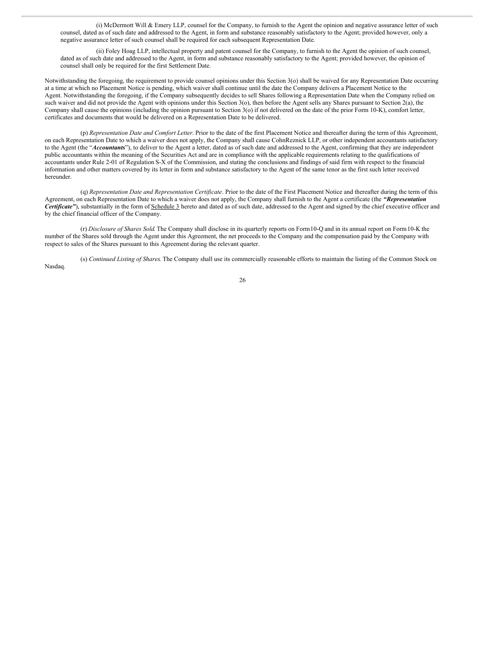(i) McDermott Will & Emery LLP, counsel for the Company, to furnish to the Agent the opinion and negative assurance letter of such counsel, dated as of such date and addressed to the Agent, in form and substance reasonably satisfactory to the Agent; provided however, only a negative assurance letter of such counsel shall be required for each subsequent Representation Date.

(ii) Foley Hoag LLP, intellectual property and patent counsel for the Company, to furnish to the Agent the opinion of such counsel, dated as of such date and addressed to the Agent, in form and substance reasonably satisfactory to the Agent; provided however, the opinion of counsel shall only be required for the first Settlement Date.

Notwithstanding the foregoing, the requirement to provide counsel opinions under this Section 3(o) shall be waived for any Representation Date occurring at a time at which no Placement Notice is pending, which waiver shall continue until the date the Company delivers a Placement Notice to the Agent. Notwithstanding the foregoing, if the Company subsequently decides to sell Shares following a Representation Date when the Company relied on such waiver and did not provide the Agent with opinions under this Section 3(o), then before the Agent sells any Shares pursuant to Section 2(a), the Company shall cause the opinions (including the opinion pursuant to Section 3(o) if not delivered on the date of the prior Form 10-K), comfort letter, certificates and documents that would be delivered on a Representation Date to be delivered.

(p) *Representation Date and Comfort Letter*. Prior to the date of the first Placement Notice and thereafter during the term of this Agreement, on each Representation Date to which a waiver does not apply, the Company shall cause CohnReznick LLP, or other independent accountants satisfactory to the Agent (the "*Accountants*"), to deliver to the Agent a letter, dated as of such date and addressed to the Agent, confirming that they are independent public accountants within the meaning of the Securities Act and are in compliance with the applicable requirements relating to the qualifications of accountants under Rule 2-01 of Regulation S-X of the Commission, and stating the conclusions and findings of said firm with respect to the financial information and other matters covered by its letter in form and substance satisfactory to the Agent of the same tenor as the first such letter received hereunder.

(q) *Representation Date and Representation Certificate*. Prior to the date of the First Placement Notice and thereafter during the term of this Agreement, on each Representation Date to which a waiver does not apply, the Company shall furnish to the Agent a certificate (the *"Representation Certificate"*), substantially in the form of Schedule 3 hereto and dated as of such date, addressed to the Agent and signed by the chief executive officer and by the chief financial officer of the Company.

(r) *Disclosure of Shares Sold*. The Company shall disclose in its quarterly reports on Form10-Q and in its annual report on Form10-K the number of the Shares sold through the Agent under this Agreement, the net proceeds to the Company and the compensation paid by the Company with respect to sales of the Shares pursuant to this Agreement during the relevant quarter.

(s) *Continued Listing of Shares*. The Company shall use its commercially reasonable efforts to maintain the listing of the Common Stock on Nasdaq.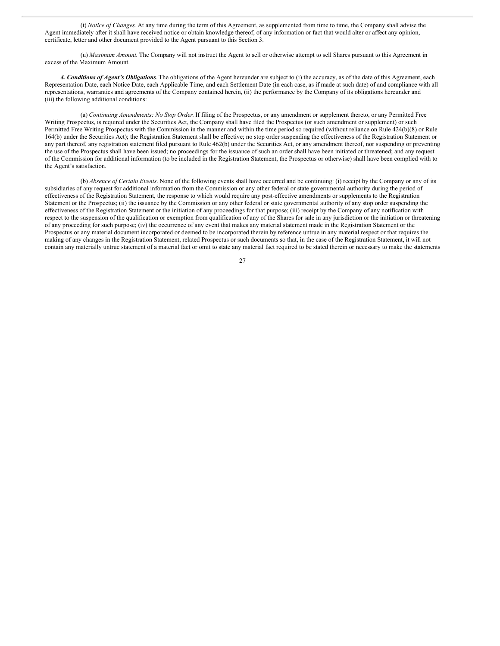(t) *Notice of Changes*. At any time during the term of this Agreement, as supplemented from time to time, the Company shall advise the Agent immediately after it shall have received notice or obtain knowledge thereof, of any information or fact that would alter or affect any opinion, certificate, letter and other document provided to the Agent pursuant to this Section 3.

(u) *Maximum Amount*. The Company will not instruct the Agent to sell or otherwise attempt to sell Shares pursuant to this Agreement in excess of the Maximum Amount.

*4. Conditions of Agent's Obligations*. The obligations of the Agent hereunder are subject to (i) the accuracy, as of the date of this Agreement, each Representation Date, each Notice Date, each Applicable Time, and each Settlement Date (in each case, as if made at such date) of and compliance with all representations, warranties and agreements of the Company contained herein, (ii) the performance by the Company of its obligations hereunder and (iii) the following additional conditions:

(a) *Continuing Amendments; No Stop Order*. If filing of the Prospectus, or any amendment or supplement thereto, or any Permitted Free Writing Prospectus, is required under the Securities Act, the Company shall have filed the Prospectus (or such amendment or supplement) or such Permitted Free Writing Prospectus with the Commission in the manner and within the time period so required (without reliance on Rule 424(b)(8) or Rule 164(b) under the Securities Act); the Registration Statement shall be effective; no stop order suspending the effectiveness of the Registration Statement or any part thereof, any registration statement filed pursuant to Rule 462(b) under the Securities Act, or any amendment thereof, nor suspending or preventing the use of the Prospectus shall have been issued; no proceedings for the issuance of such an order shall have been initiated or threatened; and any request of the Commission for additional information (to be included in the Registration Statement, the Prospectus or otherwise) shall have been complied with to the Agent's satisfaction.

(b) *Absence of Certain Events*. None of the following events shall have occurred and be continuing: (i) receipt by the Company or any of its subsidiaries of any request for additional information from the Commission or any other federal or state governmental authority during the period of effectiveness of the Registration Statement, the response to which would require any post-effective amendments or supplements to the Registration Statement or the Prospectus; (ii) the issuance by the Commission or any other federal or state governmental authority of any stop order suspending the effectiveness of the Registration Statement or the initiation of any proceedings for that purpose; (iii) receipt by the Company of any notification with respect to the suspension of the qualification or exemption from qualification of any of the Shares for sale in any jurisdiction or the initiation or threatening of any proceeding for such purpose; (iv) the occurrence of any event that makes any material statement made in the Registration Statement or the Prospectus or any material document incorporated or deemed to be incorporated therein by reference untrue in any material respect or that requires the making of any changes in the Registration Statement, related Prospectus or such documents so that, in the case of the Registration Statement, it will not contain any materially untrue statement of a material fact or omit to state any material fact required to be stated therein or necessary to make the statements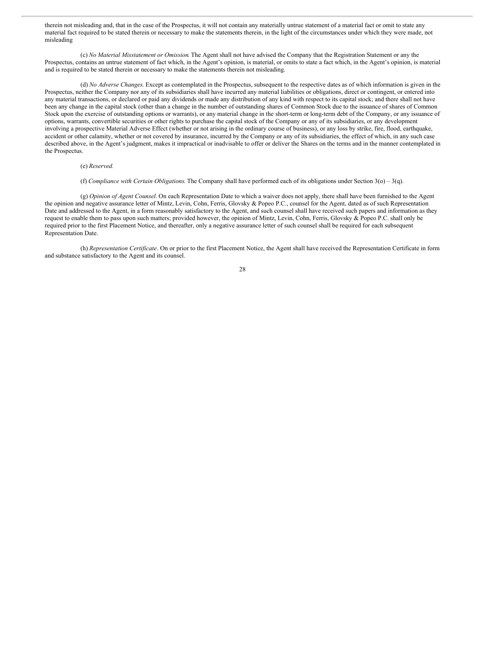therein not misleading and, that in the case of the Prospectus, it will not contain any materially untrue statement of a material fact or omit to state any material fact required to be stated therein or necessary to make the statements therein, in the light of the circumstances under which they were made, not misleading

(c) *No Material Misstatement or Omission*. The Agent shall not have advised the Company that the Registration Statement or any the Prospectus, contains an untrue statement of fact which, in the Agent's opinion, is material, or omits to state a fact which, in the Agent's opinion, is material and is required to be stated therein or necessary to make the statements therein not misleading.

(d) *No Adverse Changes*. Except as contemplated in the Prospectus, subsequent to the respective dates as of which information is given in the Prospectus, neither the Company nor any of its subsidiaries shall have incurred any material liabilities or obligations, direct or contingent, or entered into any material transactions, or declared or paid any dividends or made any distribution of any kind with respect to its capital stock; and there shall not have been any change in the capital stock (other than a change in the number of outstanding shares of Common Stock due to the issuance of shares of Common Stock upon the exercise of outstanding options or warrants), or any material change in the short-term or long-term debt of the Company, or any issuance of options, warrants, convertible securities or other rights to purchase the capital stock of the Company or any of its subsidiaries, or any development involving a prospective Material Adverse Effect (whether or not arising in the ordinary course of business), or any loss by strike, fire, flood, earthquake, accident or other calamity, whether or not covered by insurance, incurred by the Company or any of its subsidiaries, the effect of which, in any such case described above, in the Agent's judgment, makes it impractical or inadvisable to offer or deliver the Shares on the terms and in the manner contemplated in the Prospectus.

(e) *Reserved.*

(f) *Compliance with Certain Obligations*. The Company shall have performed each of its obligations under Section 3(o) – 3(q).

(g) *Opinion of Agent Counsel*. On each Representation Date to which a waiver does not apply, there shall have been furnished to the Agent the opinion and negative assurance letter of Mintz, Levin, Cohn, Ferris, Glovsky & Popeo P.C., counsel for the Agent, dated as of such Representation Date and addressed to the Agent, in a form reasonably satisfactory to the Agent, and such counsel shall have received such papers and information as they request to enable them to pass upon such matters; provided however, the opinion of Mintz, Levin, Cohn, Ferris, Glovsky & Popeo P.C. shall only be required prior to the first Placement Notice, and thereafter, only a negative assurance letter of such counsel shall be required for each subsequent Representation Date.

(h) *Representation Certificate*. On or prior to the first Placement Notice, the Agent shall have received the Representation Certificate in form and substance satisfactory to the Agent and its counsel.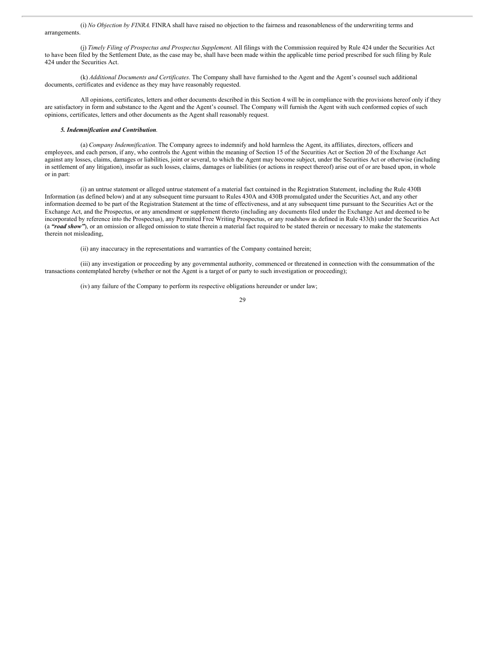(i) *No Objection by FINRA*. FINRA shall have raised no objection to the fairness and reasonableness of the underwriting terms and arrangements.

(j) *Timely Filing of Prospectus and Prospectus Supplement*. All filings with the Commission required by Rule 424 under the Securities Act to have been filed by the Settlement Date, as the case may be, shall have been made within the applicable time period prescribed for such filing by Rule 424 under the Securities Act.

(k) *Additional Documents and Certificates*. The Company shall have furnished to the Agent and the Agent's counsel such additional documents, certificates and evidence as they may have reasonably requested.

All opinions, certificates, letters and other documents described in this Section 4 will be in compliance with the provisions hereof only if they are satisfactory in form and substance to the Agent and the Agent's counsel. The Company will furnish the Agent with such conformed copies of such opinions, certificates, letters and other documents as the Agent shall reasonably request.

#### *5. Indemnification and Contribution*.

(a) *Company Indemnification*. The Company agrees to indemnify and hold harmless the Agent, its affiliates, directors, officers and employees, and each person, if any, who controls the Agent within the meaning of Section 15 of the Securities Act or Section 20 of the Exchange Act against any losses, claims, damages or liabilities, joint or several, to which the Agent may become subject, under the Securities Act or otherwise (including in settlement of any litigation), insofar as such losses, claims, damages or liabilities (or actions in respect thereof) arise out of or are based upon, in whole or in part:

(i) an untrue statement or alleged untrue statement of a material fact contained in the Registration Statement, including the Rule 430B Information (as defined below) and at any subsequent time pursuant to Rules 430A and 430B promulgated under the Securities Act, and any other information deemed to be part of the Registration Statement at the time of effectiveness, and at any subsequent time pursuant to the Securities Act or the Exchange Act, and the Prospectus, or any amendment or supplement thereto (including any documents filed under the Exchange Act and deemed to be incorporated by reference into the Prospectus), any Permitted Free Writing Prospectus, or any roadshow as defined in Rule 433(h) under the Securities Act (a "road show"), or an omission or alleged omission to state therein a material fact required to be stated therein or necessary to make the statements therein not misleading,

(ii) any inaccuracy in the representations and warranties of the Company contained herein;

(iii) any investigation or proceeding by any governmental authority, commenced or threatened in connection with the consummation of the transactions contemplated hereby (whether or not the Agent is a target of or party to such investigation or proceeding);

(iv) any failure of the Company to perform its respective obligations hereunder or under law;

 $29$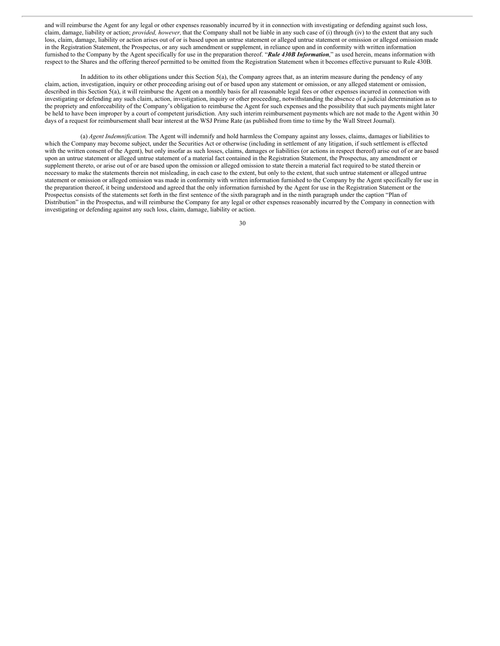and will reimburse the Agent for any legal or other expenses reasonably incurred by it in connection with investigating or defending against such loss, claim, damage, liability or action; *provided, however,* that the Company shall not be liable in any such case of (i) through (iv) to the extent that any such loss, claim, damage, liability or action arises out of or is based upon an untrue statement or alleged untrue statement or omission or alleged omission made in the Registration Statement, the Prospectus, or any such amendment or supplement, in reliance upon and in conformity with written information furnished to the Company by the Agent specifically for use in the preparation thereof. "*Rule 430B Information*," as used herein, means information with respect to the Shares and the offering thereof permitted to be omitted from the Registration Statement when it becomes effective pursuant to Rule 430B.

In addition to its other obligations under this Section 5(a), the Company agrees that, as an interim measure during the pendency of any claim, action, investigation, inquiry or other proceeding arising out of or based upon any statement or omission, or any alleged statement or omission, described in this Section 5(a), it will reimburse the Agent on a monthly basis for all reasonable legal fees or other expenses incurred in connection with investigating or defending any such claim, action, investigation, inquiry or other proceeding, notwithstanding the absence of a judicial determination as to the propriety and enforceability of the Company's obligation to reimburse the Agent for such expenses and the possibility that such payments might later be held to have been improper by a court of competent jurisdiction. Any such interim reimbursement payments which are not made to the Agent within 30 days of a request for reimbursement shall bear interest at the WSJ Prime Rate (as published from time to time by the Wall Street Journal).

(a) *Agent Indemnification*. The Agent will indemnify and hold harmless the Company against any losses, claims, damages or liabilities to which the Company may become subject, under the Securities Act or otherwise (including in settlement of any litigation, if such settlement is effected with the written consent of the Agent), but only insofar as such losses, claims, damages or liabilities (or actions in respect thereof) arise out of or are based upon an untrue statement or alleged untrue statement of a material fact contained in the Registration Statement, the Prospectus, any amendment or supplement thereto, or arise out of or are based upon the omission or alleged omission to state therein a material fact required to be stated therein or necessary to make the statements therein not misleading, in each case to the extent, but only to the extent, that such untrue statement or alleged untrue statement or omission or alleged omission was made in conformity with written information furnished to the Company by the Agent specifically for use in the preparation thereof, it being understood and agreed that the only information furnished by the Agent for use in the Registration Statement or the Prospectus consists of the statements set forth in the first sentence of the sixth paragraph and in the ninth paragraph under the caption "Plan of Distribution" in the Prospectus, and will reimburse the Company for any legal or other expenses reasonably incurred by the Company in connection with investigating or defending against any such loss, claim, damage, liability or action.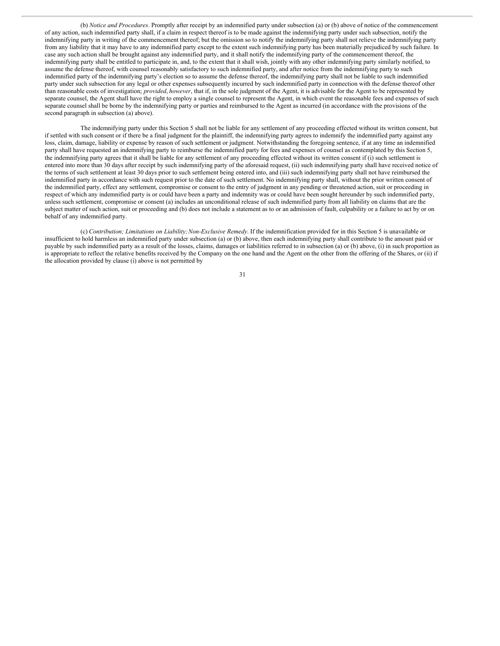(b) *Notice and Procedures*. Promptly after receipt by an indemnified party under subsection (a) or (b) above of notice of the commencement of any action, such indemnified party shall, if a claim in respect thereof is to be made against the indemnifying party under such subsection, notify the indemnifying party in writing of the commencement thereof; but the omission so to notify the indemnifying party shall not relieve the indemnifying party from any liability that it may have to any indemnified party except to the extent such indemnifying party has been materially prejudiced by such failure. In case any such action shall be brought against any indemnified party, and it shall notify the indemnifying party of the commencement thereof, the indemnifying party shall be entitled to participate in, and, to the extent that it shall wish, jointly with any other indemnifying party similarly notified, to assume the defense thereof, with counsel reasonably satisfactory to such indemnified party, and after notice from the indemnifying party to such indemnified party of the indemnifying party's election so to assume the defense thereof, the indemnifying party shall not be liable to such indemnified party under such subsection for any legal or other expenses subsequently incurred by such indemnified party in connection with the defense thereof other than reasonable costs of investigation; *provided*, *however*, that if, in the sole judgment of the Agent, it is advisable for the Agent to be represented by separate counsel, the Agent shall have the right to employ a single counsel to represent the Agent, in which event the reasonable fees and expenses of such separate counsel shall be borne by the indemnifying party or parties and reimbursed to the Agent as incurred (in accordance with the provisions of the second paragraph in subsection (a) above).

The indemnifying party under this Section 5 shall not be liable for any settlement of any proceeding effected without its written consent, but if settled with such consent or if there be a final judgment for the plaintiff, the indemnifying party agrees to indemnify the indemnified party against any loss, claim, damage, liability or expense by reason of such settlement or judgment. Notwithstanding the foregoing sentence, if at any time an indemnified party shall have requested an indemnifying party to reimburse the indemnified party for fees and expenses of counsel as contemplated by this Section 5, the indemnifying party agrees that it shall be liable for any settlement of any proceeding effected without its written consent if (i) such settlement is entered into more than 30 days after receipt by such indemnifying party of the aforesaid request, (ii) such indemnifying party shall have received notice of the terms of such settlement at least 30 days prior to such settlement being entered into, and (iii) such indemnifying party shall not have reimbursed the indemnified party in accordance with such request prior to the date of such settlement. No indemnifying party shall, without the prior written consent of the indemnified party, effect any settlement, compromise or consent to the entry of judgment in any pending or threatened action, suit or proceeding in respect of which any indemnified party is or could have been a party and indemnity was or could have been sought hereunder by such indemnified party, unless such settlement, compromise or consent (a) includes an unconditional release of such indemnified party from all liability on claims that are the subject matter of such action, suit or proceeding and (b) does not include a statement as to or an admission of fault, culpability or a failure to act by or on behalf of any indemnified party.

(c) *Contribution; Limitations on Liability;Non-Exclusive Remedy*. If the indemnification provided for in this Section 5 is unavailable or insufficient to hold harmless an indemnified party under subsection (a) or (b) above, then each indemnifying party shall contribute to the amount paid or payable by such indemnified party as a result of the losses, claims, damages or liabilities referred to in subsection (a) or (b) above, (i) in such proportion as is appropriate to reflect the relative benefits received by the Company on the one hand and the Agent on the other from the offering of the Shares, or (ii) if the allocation provided by clause (i) above is not permitted by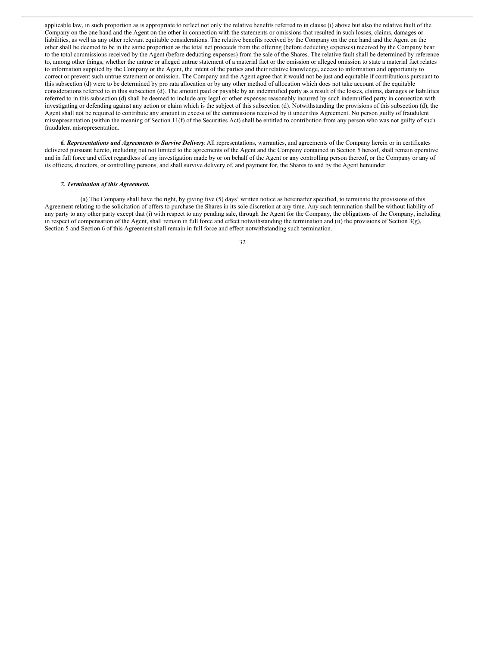applicable law, in such proportion as is appropriate to reflect not only the relative benefits referred to in clause (i) above but also the relative fault of the Company on the one hand and the Agent on the other in connection with the statements or omissions that resulted in such losses, claims, damages or liabilities, as well as any other relevant equitable considerations. The relative benefits received by the Company on the one hand and the Agent on the other shall be deemed to be in the same proportion as the total net proceeds from the offering (before deducting expenses) received by the Company bear to the total commissions received by the Agent (before deducting expenses) from the sale of the Shares. The relative fault shall be determined by reference to, among other things, whether the untrue or alleged untrue statement of a material fact or the omission or alleged omission to state a material fact relates to information supplied by the Company or the Agent, the intent of the parties and their relative knowledge, access to information and opportunity to correct or prevent such untrue statement or omission. The Company and the Agent agree that it would not be just and equitable if contributions pursuant to this subsection (d) were to be determined by pro rata allocation or by any other method of allocation which does not take account of the equitable considerations referred to in this subsection (d). The amount paid or payable by an indemnified party as a result of the losses, claims, damages or liabilities referred to in this subsection (d) shall be deemed to include any legal or other expenses reasonably incurred by such indemnified party in connection with investigating or defending against any action or claim which is the subject of this subsection (d). Notwithstanding the provisions of this subsection (d), the Agent shall not be required to contribute any amount in excess of the commissions received by it under this Agreement. No person guilty of fraudulent misrepresentation (within the meaning of Section 11(f) of the Securities Act) shall be entitled to contribution from any person who was not guilty of such fraudulent misrepresentation.

*6. Representations and Agreements to Survive Delivery*. All representations, warranties, and agreements of the Company herein or in certificates delivered pursuant hereto, including but not limited to the agreements of the Agent and the Company contained in Section 5 hereof, shall remain operative and in full force and effect regardless of any investigation made by or on behalf of the Agent or any controlling person thereof, or the Company or any of its officers, directors, or controlling persons, and shall survive delivery of, and payment for, the Shares to and by the Agent hereunder.

#### *7. Termination of this Agreement.*

(a) The Company shall have the right, by giving five (5) days' written notice as hereinafter specified, to terminate the provisions of this Agreement relating to the solicitation of offers to purchase the Shares in its sole discretion at any time. Any such termination shall be without liability of any party to any other party except that (i) with respect to any pending sale, through the Agent for the Company, the obligations of the Company, including in respect of compensation of the Agent, shall remain in full force and effect notwithstanding the termination and (ii) the provisions of Section 3(g), Section 5 and Section 6 of this Agreement shall remain in full force and effect notwithstanding such termination.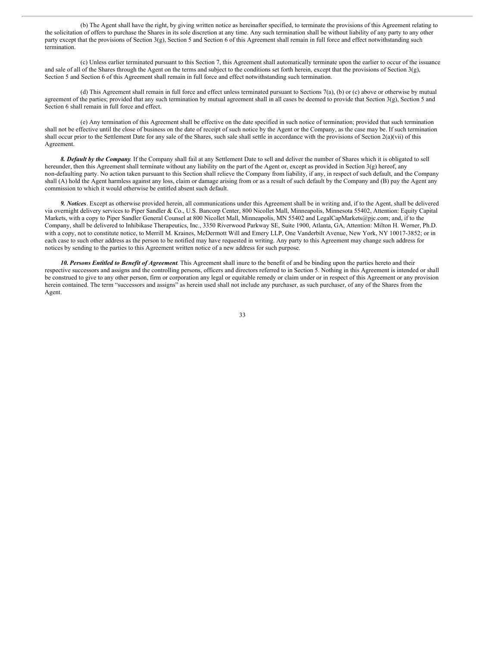(b) The Agent shall have the right, by giving written notice as hereinafter specified, to terminate the provisions of this Agreement relating to the solicitation of offers to purchase the Shares in its sole discretion at any time. Any such termination shall be without liability of any party to any other party except that the provisions of Section 3(g), Section 5 and Section 6 of this Agreement shall remain in full force and effect notwithstanding such termination.

(c) Unless earlier terminated pursuant to this Section 7, this Agreement shall automatically terminate upon the earlier to occur of the issuance and sale of all of the Shares through the Agent on the terms and subject to the conditions set forth herein, except that the provisions of Section 3(g), Section 5 and Section 6 of this Agreement shall remain in full force and effect notwithstanding such termination.

(d) This Agreement shall remain in full force and effect unless terminated pursuant to Sections 7(a), (b) or (c) above or otherwise by mutual agreement of the parties; provided that any such termination by mutual agreement shall in all cases be deemed to provide that Section  $3(g)$ , Section 5 and Section 6 shall remain in full force and effect.

(e) Any termination of this Agreement shall be effective on the date specified in such notice of termination; provided that such termination shall not be effective until the close of business on the date of receipt of such notice by the Agent or the Company, as the case may be. If such termination shall occur prior to the Settlement Date for any sale of the Shares, such sale shall settle in accordance with the provisions of Section 2(a)(vii) of this Agreement.

*8. Default by the Company*. If the Company shall fail at any Settlement Date to sell and deliver the number of Shares which it is obligated to sell hereunder, then this Agreement shall terminate without any liability on the part of the Agent or, except as provided in Section 3(g) hereof, any non-defaulting party. No action taken pursuant to this Section shall relieve the Company from liability, if any, in respect of such default, and the Company shall (A) hold the Agent harmless against any loss, claim or damage arising from or as a result of such default by the Company and (B) pay the Agent any commission to which it would otherwise be entitled absent such default.

*9. Notices*. Except as otherwise provided herein, all communications under this Agreement shall be in writing and, if to the Agent, shall be delivered via overnight delivery services to Piper Sandler & Co., U.S. Bancorp Center, 800 Nicollet Mall, Minneapolis, Minnesota 55402, Attention: Equity Capital Markets, with a copy to Piper Sandler General Counsel at 800 Nicollet Mall, Minneapolis, MN 55402 and LegalCapMarkets@pjc.com; and, if to the Company, shall be delivered to Inhibikase Therapeutics, Inc., 3350 Riverwood Parkway SE, Suite 1900, Atlanta, GA, Attention: Milton H. Werner, Ph.D. with a copy, not to constitute notice, to Merrill M. Kraines, McDermott Will and Emery LLP, One Vanderbilt Avenue, New York, NY 10017-3852; or in each case to such other address as the person to be notified may have requested in writing. Any party to this Agreement may change such address for notices by sending to the parties to this Agreement written notice of a new address for such purpose.

*10. Persons Entitled to Benefit of Agreement*. This Agreement shall inure to the benefit of and be binding upon the parties hereto and their respective successors and assigns and the controlling persons, officers and directors referred to in Section 5. Nothing in this Agreement is intended or shall be construed to give to any other person, firm or corporation any legal or equitable remedy or claim under or in respect of this Agreement or any provision herein contained. The term "successors and assigns" as herein used shall not include any purchaser, as such purchaser, of any of the Shares from the Agent.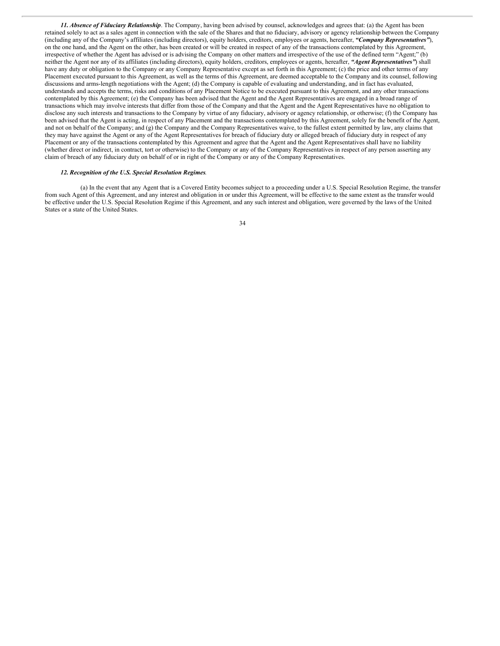*11. Absence of Fiduciary Relationship*. The Company, having been advised by counsel, acknowledges and agrees that: (a) the Agent has been retained solely to act as a sales agent in connection with the sale of the Shares and that no fiduciary, advisory or agency relationship between the Company (including any of the Company's affiliates (including directors), equity holders, creditors, employees or agents, hereafter, *"Company Representatives"*), on the one hand, and the Agent on the other, has been created or will be created in respect of any of the transactions contemplated by this Agreement, irrespective of whether the Agent has advised or is advising the Company on other matters and irrespective of the use of the defined term "Agent;" (b) neither the Agent nor any of its affiliates (including directors), equity holders, creditors, employees or agents, hereafter, *"Agent Representatives"*) shall have any duty or obligation to the Company or any Company Representative except as set forth in this Agreement; (c) the price and other terms of any Placement executed pursuant to this Agreement, as well as the terms of this Agreement, are deemed acceptable to the Company and its counsel, following discussions and arms-length negotiations with the Agent; (d) the Company is capable of evaluating and understanding, and in fact has evaluated, understands and accepts the terms, risks and conditions of any Placement Notice to be executed pursuant to this Agreement, and any other transactions contemplated by this Agreement; (e) the Company has been advised that the Agent and the Agent Representatives are engaged in a broad range of transactions which may involve interests that differ from those of the Company and that the Agent and the Agent Representatives have no obligation to disclose any such interests and transactions to the Company by virtue of any fiduciary, advisory or agency relationship, or otherwise; (f) the Company has been advised that the Agent is acting, in respect of any Placement and the transactions contemplated by this Agreement, solely for the benefit of the Agent, and not on behalf of the Company; and  $(g)$  the Company and the Company Representatives waive, to the fullest extent permitted by law, any claims that they may have against the Agent or any of the Agent Representatives for breach of fiduciary duty or alleged breach of fiduciary duty in respect of any Placement or any of the transactions contemplated by this Agreement and agree that the Agent and the Agent Representatives shall have no liability (whether direct or indirect, in contract, tort or otherwise) to the Company or any of the Company Representatives in respect of any person asserting any claim of breach of any fiduciary duty on behalf of or in right of the Company or any of the Company Representatives.

#### *12. Recognition of the U.S. Special Resolution Regimes*.

(a) In the event that any Agent that is a Covered Entity becomes subject to a proceeding under a U.S. Special Resolution Regime, the transfer from such Agent of this Agreement, and any interest and obligation in or under this Agreement, will be effective to the same extent as the transfer would be effective under the U.S. Special Resolution Regime if this Agreement, and any such interest and obligation, were governed by the laws of the United States or a state of the United States.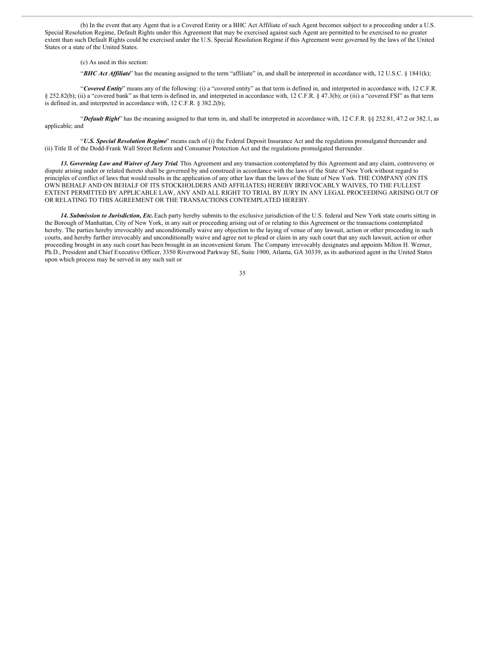(b) In the event that any Agent that is a Covered Entity or a BHC Act Affiliate of such Agent becomes subject to a proceeding under a U.S. Special Resolution Regime, Default Rights under this Agreement that may be exercised against such Agent are permitted to be exercised to no greater extent than such Default Rights could be exercised under the U.S. Special Resolution Regime if this Agreement were governed by the laws of the United States or a state of the United States.

(c) As used in this section:

"BHC Act Affiliate" has the meaning assigned to the term "affiliate" in, and shall be interpreted in accordance with, 12 U.S.C. § 1841(k);

"*Covered Entity*" means any of the following: (i) a "covered entity" as that term is defined in, and interpreted in accordance with, 12 C.F.R. § 252.82(b); (ii) a "covered bank" as that term is defined in, and interpreted in accordance with, 12 C.F.R. § 47.3(b); or (iii) a "covered FSI" as that term is defined in, and interpreted in accordance with, 12 C.F.R. § 382.2(b);

"*Default Right*" has the meaning assigned to that term in, and shall be interpreted in accordance with, 12 C.F.R. §§ 252.81, 47.2 or 382.1, as applicable; and

"*U.S. Special Resolution Regime*" means each of (i) the Federal Deposit Insurance Act and the regulations promulgated thereunder and (ii) Title II of the Dodd-Frank Wall Street Reform and Consumer Protection Act and the regulations promulgated thereunder.

*13. Governing Law and Waiver of Jury Trial*. This Agreement and any transaction contemplated by this Agreement and any claim, controversy or dispute arising under or related thereto shall be governed by and construed in accordance with the laws of the State of New York without regard to principles of conflict of laws that would results in the application of any other law than the laws of the State of New York. THE COMPANY (ON ITS OWN BEHALF AND ON BEHALF OF ITS STOCKHOLDERS AND AFFILIATES) HEREBY IRREVOCABLY WAIVES, TO THE FULLEST EXTENT PERMITTED BY APPLICABLE LAW, ANY AND ALL RIGHT TO TRIAL BY JURY IN ANY LEGAL PROCEEDING ARISING OUT OF OR RELATING TO THIS AGREEMENT OR THE TRANSACTIONS CONTEMPLATED HEREBY.

*14. Submission to Jurisdiction, Etc.*Each party hereby submits to the exclusive jurisdiction of the U.S. federal and New York state courts sitting in the Borough of Manhattan, City of New York, in any suit or proceeding arising out of or relating to this Agreement or the transactions contemplated hereby. The parties hereby irrevocably and unconditionally waive any objection to the laying of venue of any lawsuit, action or other proceeding in such courts, and hereby further irrevocably and unconditionally waive and agree not to plead or claim in any such court that any such lawsuit, action or other proceeding brought in any such court has been brought in an inconvenient forum. The Company irrevocably designates and appoints Milton H. Werner, Ph.D., President and Chief Executive Officer, 3350 Riverwood Parkway SE, Suite 1900, Atlanta, GA 30339, as its authorized agent in the United States upon which process may be served in any such suit or

<sup>35</sup>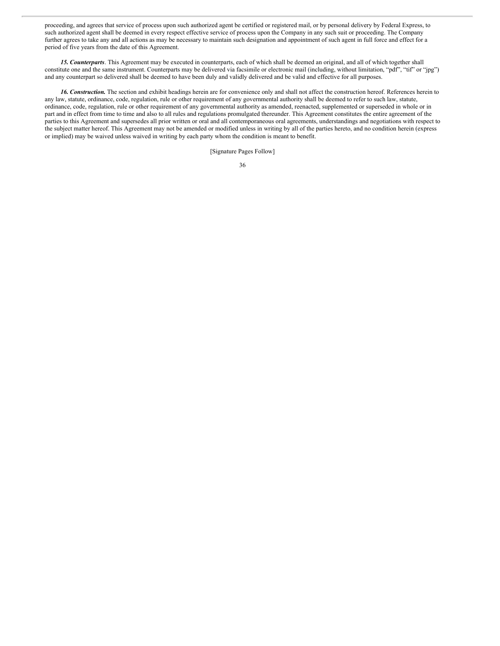proceeding, and agrees that service of process upon such authorized agent be certified or registered mail, or by personal delivery by Federal Express, to such authorized agent shall be deemed in every respect effective service of process upon the Company in any such suit or proceeding. The Company further agrees to take any and all actions as may be necessary to maintain such designation and appointment of such agent in full force and effect for a period of five years from the date of this Agreement.

*15. Counterparts*. This Agreement may be executed in counterparts, each of which shall be deemed an original, and all of which together shall constitute one and the same instrument. Counterparts may be delivered via facsimile or electronic mail (including, without limitation, "pdf", "tif" or "jpg") and any counterpart so delivered shall be deemed to have been duly and validly delivered and be valid and effective for all purposes.

*16. Construction.* The section and exhibit headings herein are for convenience only and shall not affect the construction hereof. References herein to any law, statute, ordinance, code, regulation, rule or other requirement of any governmental authority shall be deemed to refer to such law, statute, ordinance, code, regulation, rule or other requirement of any governmental authority as amended, reenacted, supplemented or superseded in whole or in part and in effect from time to time and also to all rules and regulations promulgated thereunder. This Agreement constitutes the entire agreement of the parties to this Agreement and supersedes all prior written or oral and all contemporaneous oral agreements, understandings and negotiations with respect to the subject matter hereof. This Agreement may not be amended or modified unless in writing by all of the parties hereto, and no condition herein (express or implied) may be waived unless waived in writing by each party whom the condition is meant to benefit.

[Signature Pages Follow]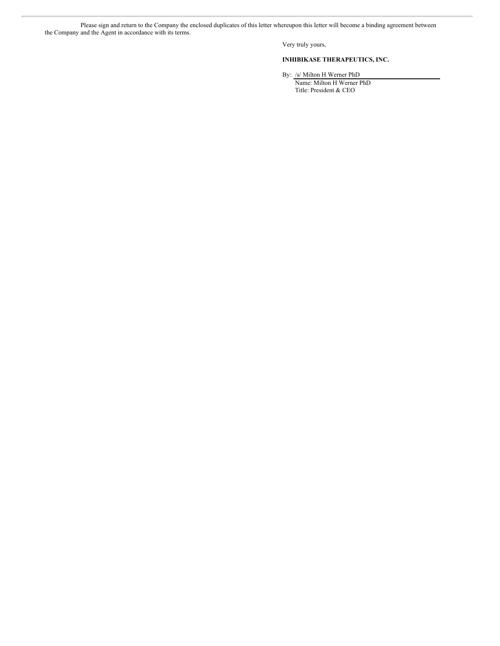Please sign and return to the Company the enclosed duplicates of this letter whereupon this letter will become a binding agreement between the Company and the Agent in accordance with its terms.

Very truly yours,

#### **INHIBIKASE THERAPEUTICS, INC.**

By: /s/ Milton H Werner PhD

Name: Milton H Werner PhD Title: President & CEO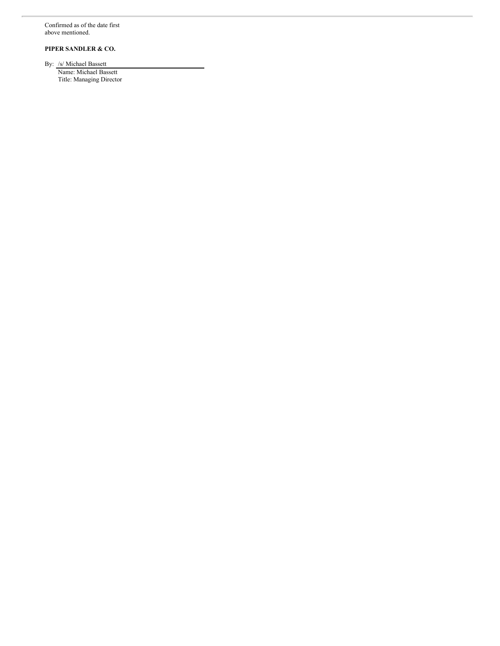Confirmed as of the date first above mentioned.

**PIPER SANDLER & CO.**

By: /s/ Michael Bassett Name: Michael Bassett Title: Managing Director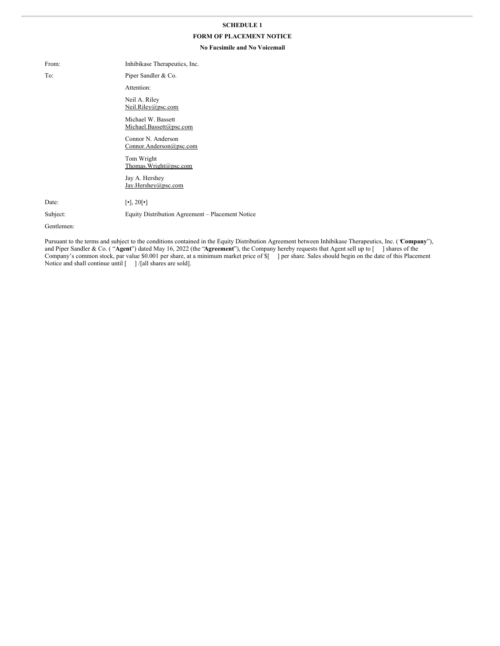#### **SCHEDULE 1**

#### **FORM OF PLACEMENT NOTICE**

#### **No Facsimile and No Voicemail**

| From:      | Inhibikase Therapeutics, Inc.                    |  |
|------------|--------------------------------------------------|--|
| To:        | Piper Sandler & Co.                              |  |
|            | Attention:                                       |  |
|            | Neil A. Riley<br>Neil.Riley@psc.com              |  |
|            | Michael W. Bassett<br>Michael.Bassett@psc.com    |  |
|            | Connor N. Anderson<br>Connor.Anderson@psc.com    |  |
|            | Tom Wright<br>Thomas.Wright@psc.com              |  |
|            | Jay A. Hershey<br>Jay.Hershey@psc.com            |  |
| Date:      | $\lceil \cdot \rceil$ , 20 $\lceil \cdot \rceil$ |  |
| Subject:   | Equity Distribution Agreement – Placement Notice |  |
| Gentlemen: |                                                  |  |

Pursuant to the terms and subject to the conditions contained in the Equity Distribution Agreement between Inhibikase Therapeutics, Inc. ( "**Company**"), and Piper Sandler & Co. ( "**Agent**") dated May 16, 2022 (the "**Agreement**"), the Company hereby requests that Agent sell up to [ ] shares of the Company's common stock, par value \$0.001 per share, at a minimum market price of \$[ ] per share. Sales should begin on the date of this Placement Notice and shall continue until [ ] /[all shares are sold].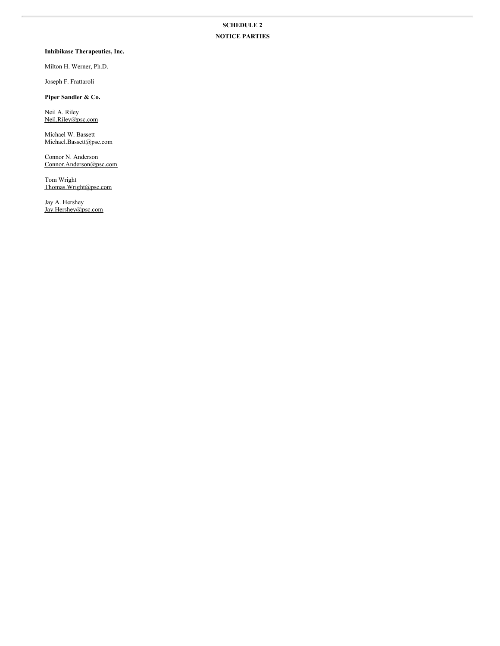## **SCHEDULE 2 NOTICE PARTIES**

#### **Inhibikase Therapeutics, Inc.**

Milton H. Werner, Ph.D.

Joseph F. Frattaroli

**Piper Sandler & Co.**

Neil A. Riley Neil.Riley@psc.com

Michael W. Bassett Michael.Bassett@psc.com

Connor N. Anderson Connor.Anderson@psc.com

Tom Wright Thomas.Wright@psc.com

Jay A. Hershey Jay.Hershey@psc.com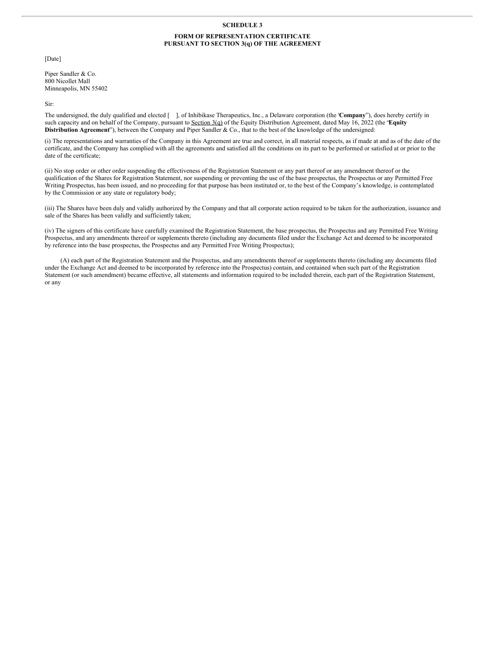#### **SCHEDULE 3**

#### **FORM OF REPRESENTATION CERTIFICATE PURSUANT TO SECTION 3(q) OF THE AGREEMENT**

[Date]

Piper Sandler & Co. 800 Nicollet Mall Minneapolis, MN 55402

Sir:

The undersigned, the duly qualified and elected [ ], of Inhibikase Therapeutics, Inc., a Delaware corporation (the "**Company**"), does hereby certify in such capacity and on behalf of the Company, pursuant to Section 3(q) of the Equity Distribution Agreement, dated May 16, 2022 (the "**Equity Distribution Agreement**"), between the Company and Piper Sandler & Co., that to the best of the knowledge of the undersigned:

(i) The representations and warranties of the Company in this Agreement are true and correct, in all material respects, as if made at and as of the date of the certificate, and the Company has complied with all the agreements and satisfied all the conditions on its part to be performed or satisfied at or prior to the date of the certificate;

(ii) No stop order or other order suspending the effectiveness of the Registration Statement or any part thereof or any amendment thereof or the qualification of the Shares for Registration Statement, nor suspending or preventing the use of the base prospectus, the Prospectus or any Permitted Free Writing Prospectus, has been issued, and no proceeding for that purpose has been instituted or, to the best of the Company's knowledge, is contemplated by the Commission or any state or regulatory body;

(iii) The Shares have been duly and validly authorized by the Company and that all corporate action required to be taken for the authorization, issuance and sale of the Shares has been validly and sufficiently taken;

(iv) The signers of this certificate have carefully examined the Registration Statement, the base prospectus, the Prospectus and any Permitted Free Writing Prospectus, and any amendments thereof or supplements thereto (including any documents filed under the Exchange Act and deemed to be incorporated by reference into the base prospectus, the Prospectus and any Permitted Free Writing Prospectus);

(A) each part of the Registration Statement and the Prospectus, and any amendments thereof or supplements thereto (including any documents filed under the Exchange Act and deemed to be incorporated by reference into the Prospectus) contain, and contained when such part of the Registration Statement (or such amendment) became effective, all statements and information required to be included therein, each part of the Registration Statement, or any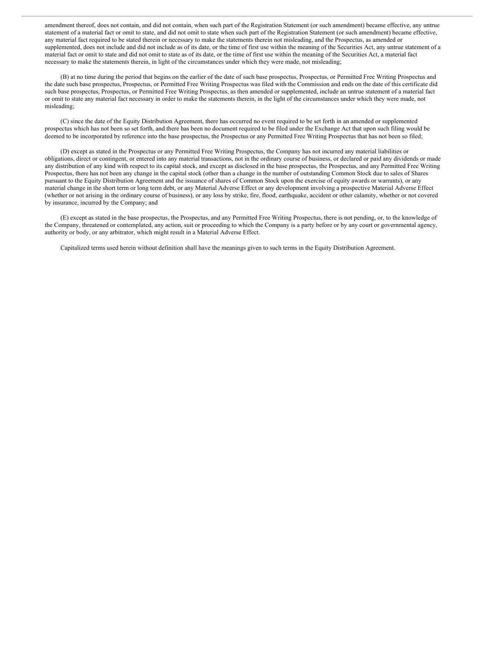amendment thereof, does not contain, and did not contain, when such part of the Registration Statement (or such amendment) became effective, any untrue statement of a material fact or omit to state, and did not omit to state when such part of the Registration Statement (or such amendment) became effective, any material fact required to be stated therein or necessary to make the statements therein not misleading, and the Prospectus, as amended or supplemented, does not include and did not include as of its date, or the time of first use within the meaning of the Securities Act, any untrue statement of a material fact or omit to state and did not omit to state as of its date, or the time of first use within the meaning of the Securities Act, a material fact necessary to make the statements therein, in light of the circumstances under which they were made, not misleading;

(B) at no time during the period that begins on the earlier of the date of such base prospectus, Prospectus, or Permitted Free Writing Prospectus and the date such base prospectus, Prospectus, or Permitted Free Writing Prospectus was filed with the Commission and ends on the date of this certificate did such base prospectus, Prospectus, or Permitted Free Writing Prospectus, as then amended or supplemented, include an untrue statement of a material fact or omit to state any material fact necessary in order to make the statements therein, in the light of the circumstances under which they were made, not misleading;

(C) since the date of the Equity Distribution Agreement, there has occurred no event required to be set forth in an amended or supplemented prospectus which has not been so set forth, and there has been no document required to be filed under the Exchange Act that upon such filing would be deemed to be incorporated by reference into the base prospectus, the Prospectus or any Permitted Free Writing Prospectus that has not been so filed;

(D) except as stated in the Prospectus or any Permitted Free Writing Prospectus, the Company has not incurred any material liabilities or obligations, direct or contingent, or entered into any material transactions, not in the ordinary course of business, or declared or paid any dividends or made any distribution of any kind with respect to its capital stock, and except as disclosed in the base prospectus, the Prospectus, and any Permitted Free Writing Prospectus, there has not been any change in the capital stock (other than a change in the number of outstanding Common Stock due to sales of Shares pursuant to the Equity Distribution Agreement and the issuance of shares of Common Stock upon the exercise of equity awards or warrants), or any material change in the short term or long term debt, or any Material Adverse Effect or any development involving a prospective Material Adverse Effect (whether or not arising in the ordinary course of business), or any loss by strike, fire, flood, earthquake, accident or other calamity, whether or not covered by insurance, incurred by the Company; and

(E) except as stated in the base prospectus, the Prospectus, and any Permitted Free Writing Prospectus, there is not pending, or, to the knowledge of the Company, threatened or contemplated, any action, suit or proceeding to which the Company is a party before or by any court or governmental agency, authority or body, or any arbitrator, which might result in a Material Adverse Effect.

Capitalized terms used herein without definition shall have the meanings given to such terms in the Equity Distribution Agreement.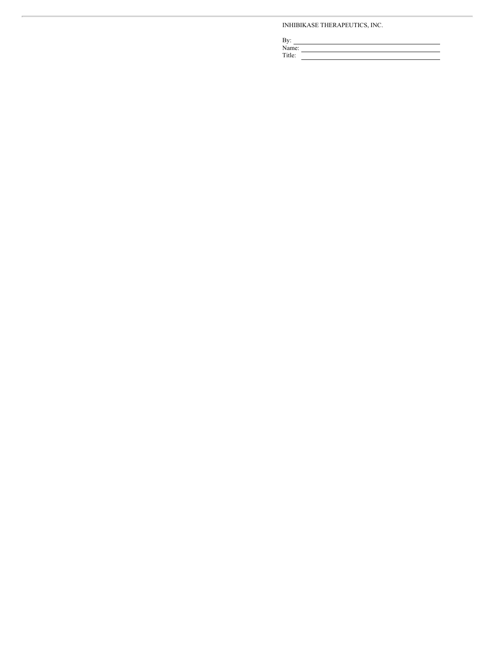#### INHIBIKASE THERAPEUTICS, INC.

| By:    |  |
|--------|--|
| Name:  |  |
| Title: |  |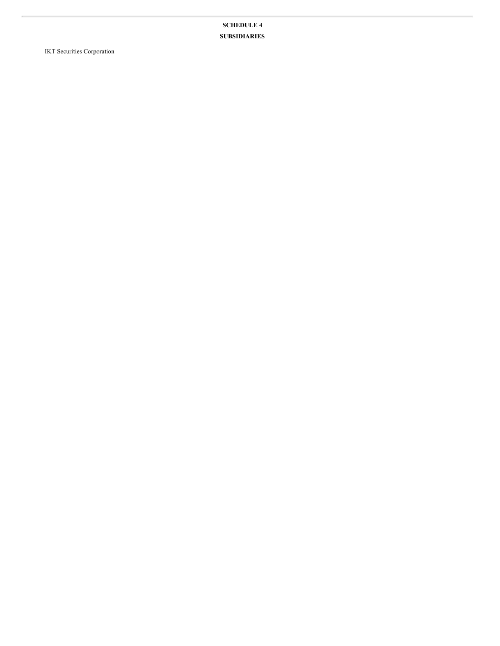**SCHEDULE 4 SUBSIDIARIES**

IKT Securities Corporation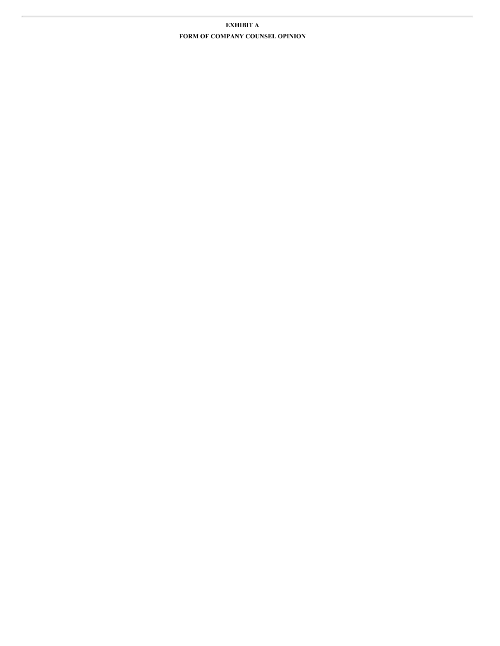## **EXHIBIT A FORM OF COMPANY COUNSEL OPINION**